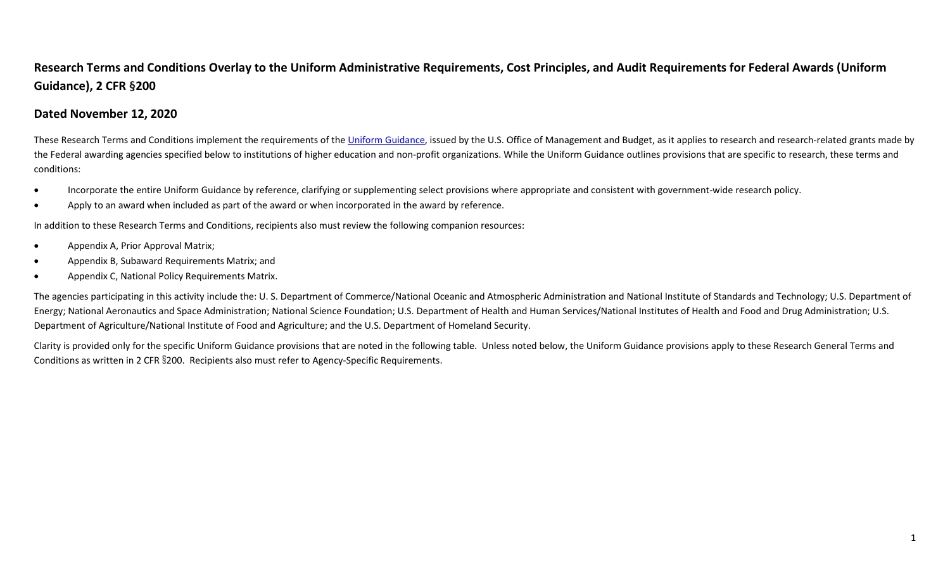## **Research Terms and Conditions Overlay to the Uniform Administrative Requirements, Cost Principles, and Audit Requirements for Federal Awards (Uniform Guidance), 2 CFR §200**

## **Dated November 12, 2020**

These Research Terms and Conditions implement the requirements of the Uniform [Guidance,](http://www.ecfr.gov/cgi-bin/text-idx?tpl=/ecfrbrowse/Title02/2cfr200_main_02.tpl) issued by the U.S. Office of Management and Budget, as it applies to research and research-related grants made by the Federal awarding agencies specified below to institutions of higher education and non-profit organizations. While the Uniform Guidance outlines provisions that are specific to research, these terms and conditions:

- Incorporate the entire Uniform Guidance by reference, clarifying or supplementing select provisions where appropriate and consistent with government-wide research policy.
- Apply to an award when included as part of the award or when incorporated in the award by reference.

In addition to these Research Terms and Conditions, recipients also must review the following companion resources:

- Appendix A, Prior Approval Matrix;
- Appendix B, Subaward Requirements Matrix; and
- Appendix C, National Policy Requirements Matrix.

The agencies participating in this activity include the: U. S. Department of Commerce/National Oceanic and Atmospheric Administration and National Institute of Standards and Technology; U.S. Department of Energy; National Aeronautics and Space Administration; National Science Foundation; U.S. Department of Health and Human Services/National Institutes of Health and Food and Drug Administration; U.S. Department of Agriculture/National Institute of Food and Agriculture; and the U.S. Department of Homeland Security.

Clarity is provided only for the specific Uniform Guidance provisions that are noted in the following table. Unless noted below, the Uniform Guidance provisions apply to these Research General Terms and Conditions as written in 2 CFR §200. Recipients also must refer to Agency-Specific Requirements.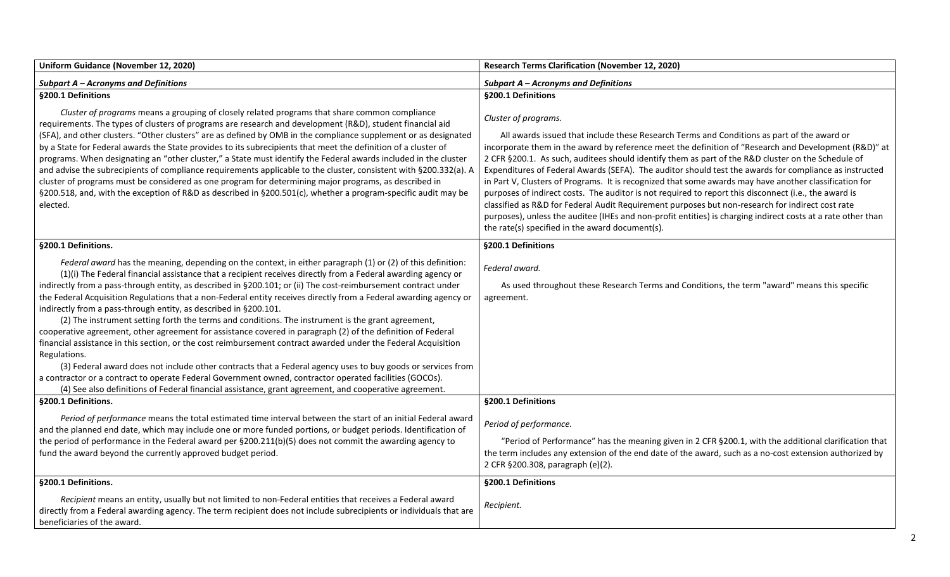| Uniform Guidance (November 12, 2020)                                                                                                                                                                                                                                                                                                                                                                                                                                                                                                                                                                                                                                                                                                                                                                                                                                                                                                                                                                                                                                                                                                                                                                                            | <b>Research Terms Clarification (November 12, 2020)</b>                                                                                                                                                                                                                                                                                                                                                                                                                                                                                                                                                                                                                                                                                                                                                                                                                                                                               |
|---------------------------------------------------------------------------------------------------------------------------------------------------------------------------------------------------------------------------------------------------------------------------------------------------------------------------------------------------------------------------------------------------------------------------------------------------------------------------------------------------------------------------------------------------------------------------------------------------------------------------------------------------------------------------------------------------------------------------------------------------------------------------------------------------------------------------------------------------------------------------------------------------------------------------------------------------------------------------------------------------------------------------------------------------------------------------------------------------------------------------------------------------------------------------------------------------------------------------------|---------------------------------------------------------------------------------------------------------------------------------------------------------------------------------------------------------------------------------------------------------------------------------------------------------------------------------------------------------------------------------------------------------------------------------------------------------------------------------------------------------------------------------------------------------------------------------------------------------------------------------------------------------------------------------------------------------------------------------------------------------------------------------------------------------------------------------------------------------------------------------------------------------------------------------------|
| <b>Subpart A - Acronyms and Definitions</b>                                                                                                                                                                                                                                                                                                                                                                                                                                                                                                                                                                                                                                                                                                                                                                                                                                                                                                                                                                                                                                                                                                                                                                                     | <b>Subpart A - Acronyms and Definitions</b>                                                                                                                                                                                                                                                                                                                                                                                                                                                                                                                                                                                                                                                                                                                                                                                                                                                                                           |
| §200.1 Definitions                                                                                                                                                                                                                                                                                                                                                                                                                                                                                                                                                                                                                                                                                                                                                                                                                                                                                                                                                                                                                                                                                                                                                                                                              | §200.1 Definitions                                                                                                                                                                                                                                                                                                                                                                                                                                                                                                                                                                                                                                                                                                                                                                                                                                                                                                                    |
| Cluster of programs means a grouping of closely related programs that share common compliance<br>requirements. The types of clusters of programs are research and development (R&D), student financial aid<br>(SFA), and other clusters. "Other clusters" are as defined by OMB in the compliance supplement or as designated<br>by a State for Federal awards the State provides to its subrecipients that meet the definition of a cluster of<br>programs. When designating an "other cluster," a State must identify the Federal awards included in the cluster<br>and advise the subrecipients of compliance requirements applicable to the cluster, consistent with §200.332(a). A<br>cluster of programs must be considered as one program for determining major programs, as described in<br>§200.518, and, with the exception of R&D as described in §200.501(c), whether a program-specific audit may be<br>elected.                                                                                                                                                                                                                                                                                                   | Cluster of programs.<br>All awards issued that include these Research Terms and Conditions as part of the award or<br>incorporate them in the award by reference meet the definition of "Research and Development (R&D)" at<br>2 CFR §200.1. As such, auditees should identify them as part of the R&D cluster on the Schedule of<br>Expenditures of Federal Awards (SEFA). The auditor should test the awards for compliance as instructed<br>in Part V, Clusters of Programs. It is recognized that some awards may have another classification for<br>purposes of indirect costs. The auditor is not required to report this disconnect (i.e., the award is<br>classified as R&D for Federal Audit Requirement purposes but non-research for indirect cost rate<br>purposes), unless the auditee (IHEs and non-profit entities) is charging indirect costs at a rate other than<br>the rate(s) specified in the award document(s). |
| §200.1 Definitions.                                                                                                                                                                                                                                                                                                                                                                                                                                                                                                                                                                                                                                                                                                                                                                                                                                                                                                                                                                                                                                                                                                                                                                                                             | §200.1 Definitions                                                                                                                                                                                                                                                                                                                                                                                                                                                                                                                                                                                                                                                                                                                                                                                                                                                                                                                    |
| Federal award has the meaning, depending on the context, in either paragraph (1) or (2) of this definition:<br>(1)(i) The Federal financial assistance that a recipient receives directly from a Federal awarding agency or<br>indirectly from a pass-through entity, as described in §200.101; or (ii) The cost-reimbursement contract under<br>the Federal Acquisition Regulations that a non-Federal entity receives directly from a Federal awarding agency or<br>indirectly from a pass-through entity, as described in §200.101.<br>(2) The instrument setting forth the terms and conditions. The instrument is the grant agreement,<br>cooperative agreement, other agreement for assistance covered in paragraph (2) of the definition of Federal<br>financial assistance in this section, or the cost reimbursement contract awarded under the Federal Acquisition<br>Regulations.<br>(3) Federal award does not include other contracts that a Federal agency uses to buy goods or services from<br>a contractor or a contract to operate Federal Government owned, contractor operated facilities (GOCOs).<br>(4) See also definitions of Federal financial assistance, grant agreement, and cooperative agreement. | Federal award.<br>As used throughout these Research Terms and Conditions, the term "award" means this specific<br>agreement.                                                                                                                                                                                                                                                                                                                                                                                                                                                                                                                                                                                                                                                                                                                                                                                                          |
| §200.1 Definitions.                                                                                                                                                                                                                                                                                                                                                                                                                                                                                                                                                                                                                                                                                                                                                                                                                                                                                                                                                                                                                                                                                                                                                                                                             | §200.1 Definitions                                                                                                                                                                                                                                                                                                                                                                                                                                                                                                                                                                                                                                                                                                                                                                                                                                                                                                                    |
| Period of performance means the total estimated time interval between the start of an initial Federal award<br>and the planned end date, which may include one or more funded portions, or budget periods. Identification of<br>the period of performance in the Federal award per §200.211(b)(5) does not commit the awarding agency to<br>fund the award beyond the currently approved budget period.                                                                                                                                                                                                                                                                                                                                                                                                                                                                                                                                                                                                                                                                                                                                                                                                                         | Period of performance.<br>"Period of Performance" has the meaning given in 2 CFR §200.1, with the additional clarification that<br>the term includes any extension of the end date of the award, such as a no-cost extension authorized by<br>2 CFR §200.308, paragraph (e)(2).                                                                                                                                                                                                                                                                                                                                                                                                                                                                                                                                                                                                                                                       |
| §200.1 Definitions.                                                                                                                                                                                                                                                                                                                                                                                                                                                                                                                                                                                                                                                                                                                                                                                                                                                                                                                                                                                                                                                                                                                                                                                                             | §200.1 Definitions                                                                                                                                                                                                                                                                                                                                                                                                                                                                                                                                                                                                                                                                                                                                                                                                                                                                                                                    |
| Recipient means an entity, usually but not limited to non-Federal entities that receives a Federal award<br>directly from a Federal awarding agency. The term recipient does not include subrecipients or individuals that are<br>beneficiaries of the award.                                                                                                                                                                                                                                                                                                                                                                                                                                                                                                                                                                                                                                                                                                                                                                                                                                                                                                                                                                   | Recipient.                                                                                                                                                                                                                                                                                                                                                                                                                                                                                                                                                                                                                                                                                                                                                                                                                                                                                                                            |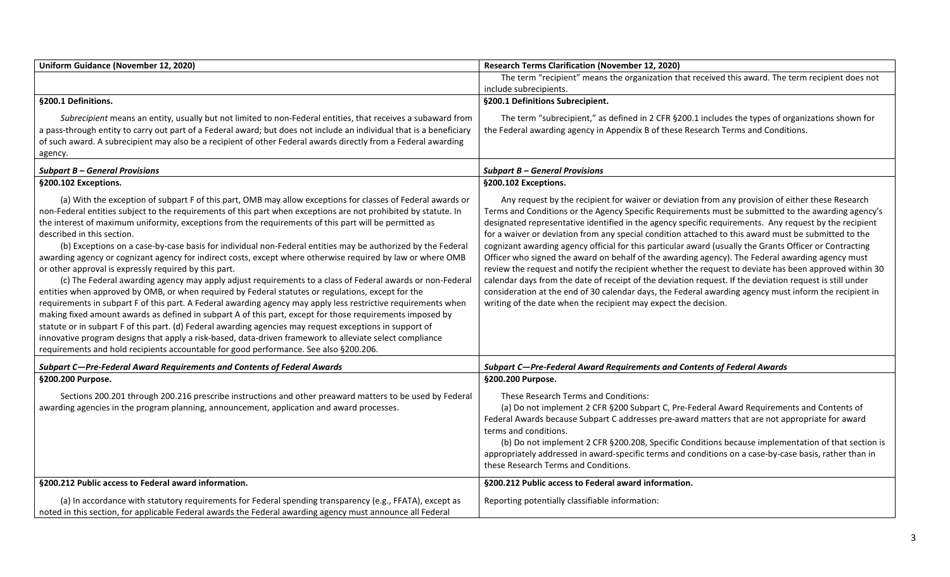| Uniform Guidance (November 12, 2020)                                                                                                                                                                                                                                                                                                                                                                                                                                                                                                                                                                                                                                                                                                                                                                                                                                                                                                                                                                                                                                                                                                                                                                                                                                                                                                                                                                                             | <b>Research Terms Clarification (November 12, 2020)</b>                                                                                                                                                                                                                                                                                                                                                                                                                                                                                                                                                                                                                                                                                                                                                                                                                                                                                                                                                                                     |
|----------------------------------------------------------------------------------------------------------------------------------------------------------------------------------------------------------------------------------------------------------------------------------------------------------------------------------------------------------------------------------------------------------------------------------------------------------------------------------------------------------------------------------------------------------------------------------------------------------------------------------------------------------------------------------------------------------------------------------------------------------------------------------------------------------------------------------------------------------------------------------------------------------------------------------------------------------------------------------------------------------------------------------------------------------------------------------------------------------------------------------------------------------------------------------------------------------------------------------------------------------------------------------------------------------------------------------------------------------------------------------------------------------------------------------|---------------------------------------------------------------------------------------------------------------------------------------------------------------------------------------------------------------------------------------------------------------------------------------------------------------------------------------------------------------------------------------------------------------------------------------------------------------------------------------------------------------------------------------------------------------------------------------------------------------------------------------------------------------------------------------------------------------------------------------------------------------------------------------------------------------------------------------------------------------------------------------------------------------------------------------------------------------------------------------------------------------------------------------------|
|                                                                                                                                                                                                                                                                                                                                                                                                                                                                                                                                                                                                                                                                                                                                                                                                                                                                                                                                                                                                                                                                                                                                                                                                                                                                                                                                                                                                                                  | The term "recipient" means the organization that received this award. The term recipient does not                                                                                                                                                                                                                                                                                                                                                                                                                                                                                                                                                                                                                                                                                                                                                                                                                                                                                                                                           |
|                                                                                                                                                                                                                                                                                                                                                                                                                                                                                                                                                                                                                                                                                                                                                                                                                                                                                                                                                                                                                                                                                                                                                                                                                                                                                                                                                                                                                                  | include subrecipients.                                                                                                                                                                                                                                                                                                                                                                                                                                                                                                                                                                                                                                                                                                                                                                                                                                                                                                                                                                                                                      |
| §200.1 Definitions.                                                                                                                                                                                                                                                                                                                                                                                                                                                                                                                                                                                                                                                                                                                                                                                                                                                                                                                                                                                                                                                                                                                                                                                                                                                                                                                                                                                                              | §200.1 Definitions Subrecipient.                                                                                                                                                                                                                                                                                                                                                                                                                                                                                                                                                                                                                                                                                                                                                                                                                                                                                                                                                                                                            |
| Subrecipient means an entity, usually but not limited to non-Federal entities, that receives a subaward from                                                                                                                                                                                                                                                                                                                                                                                                                                                                                                                                                                                                                                                                                                                                                                                                                                                                                                                                                                                                                                                                                                                                                                                                                                                                                                                     | The term "subrecipient," as defined in 2 CFR §200.1 includes the types of organizations shown for                                                                                                                                                                                                                                                                                                                                                                                                                                                                                                                                                                                                                                                                                                                                                                                                                                                                                                                                           |
| a pass-through entity to carry out part of a Federal award; but does not include an individual that is a beneficiary                                                                                                                                                                                                                                                                                                                                                                                                                                                                                                                                                                                                                                                                                                                                                                                                                                                                                                                                                                                                                                                                                                                                                                                                                                                                                                             | the Federal awarding agency in Appendix B of these Research Terms and Conditions.                                                                                                                                                                                                                                                                                                                                                                                                                                                                                                                                                                                                                                                                                                                                                                                                                                                                                                                                                           |
| of such award. A subrecipient may also be a recipient of other Federal awards directly from a Federal awarding                                                                                                                                                                                                                                                                                                                                                                                                                                                                                                                                                                                                                                                                                                                                                                                                                                                                                                                                                                                                                                                                                                                                                                                                                                                                                                                   |                                                                                                                                                                                                                                                                                                                                                                                                                                                                                                                                                                                                                                                                                                                                                                                                                                                                                                                                                                                                                                             |
| agency.                                                                                                                                                                                                                                                                                                                                                                                                                                                                                                                                                                                                                                                                                                                                                                                                                                                                                                                                                                                                                                                                                                                                                                                                                                                                                                                                                                                                                          |                                                                                                                                                                                                                                                                                                                                                                                                                                                                                                                                                                                                                                                                                                                                                                                                                                                                                                                                                                                                                                             |
| <b>Subpart B - General Provisions</b>                                                                                                                                                                                                                                                                                                                                                                                                                                                                                                                                                                                                                                                                                                                                                                                                                                                                                                                                                                                                                                                                                                                                                                                                                                                                                                                                                                                            | <b>Subpart B – General Provisions</b>                                                                                                                                                                                                                                                                                                                                                                                                                                                                                                                                                                                                                                                                                                                                                                                                                                                                                                                                                                                                       |
| §200.102 Exceptions.                                                                                                                                                                                                                                                                                                                                                                                                                                                                                                                                                                                                                                                                                                                                                                                                                                                                                                                                                                                                                                                                                                                                                                                                                                                                                                                                                                                                             | §200.102 Exceptions.                                                                                                                                                                                                                                                                                                                                                                                                                                                                                                                                                                                                                                                                                                                                                                                                                                                                                                                                                                                                                        |
| (a) With the exception of subpart F of this part, OMB may allow exceptions for classes of Federal awards or<br>non-Federal entities subject to the requirements of this part when exceptions are not prohibited by statute. In<br>the interest of maximum uniformity, exceptions from the requirements of this part will be permitted as<br>described in this section.<br>(b) Exceptions on a case-by-case basis for individual non-Federal entities may be authorized by the Federal<br>awarding agency or cognizant agency for indirect costs, except where otherwise required by law or where OMB<br>or other approval is expressly required by this part.<br>(c) The Federal awarding agency may apply adjust requirements to a class of Federal awards or non-Federal<br>entities when approved by OMB, or when required by Federal statutes or regulations, except for the<br>requirements in subpart F of this part. A Federal awarding agency may apply less restrictive requirements when<br>making fixed amount awards as defined in subpart A of this part, except for those requirements imposed by<br>statute or in subpart F of this part. (d) Federal awarding agencies may request exceptions in support of<br>innovative program designs that apply a risk-based, data-driven framework to alleviate select compliance<br>requirements and hold recipients accountable for good performance. See also §200.206. | Any request by the recipient for waiver or deviation from any provision of either these Research<br>Terms and Conditions or the Agency Specific Requirements must be submitted to the awarding agency's<br>designated representative identified in the agency specific requirements. Any request by the recipient<br>for a waiver or deviation from any special condition attached to this award must be submitted to the<br>cognizant awarding agency official for this particular award (usually the Grants Officer or Contracting<br>Officer who signed the award on behalf of the awarding agency). The Federal awarding agency must<br>review the request and notify the recipient whether the request to deviate has been approved within 30<br>calendar days from the date of receipt of the deviation request. If the deviation request is still under<br>consideration at the end of 30 calendar days, the Federal awarding agency must inform the recipient in<br>writing of the date when the recipient may expect the decision. |
| Subpart C-Pre-Federal Award Requirements and Contents of Federal Awards                                                                                                                                                                                                                                                                                                                                                                                                                                                                                                                                                                                                                                                                                                                                                                                                                                                                                                                                                                                                                                                                                                                                                                                                                                                                                                                                                          | Subpart C-Pre-Federal Award Requirements and Contents of Federal Awards                                                                                                                                                                                                                                                                                                                                                                                                                                                                                                                                                                                                                                                                                                                                                                                                                                                                                                                                                                     |
| §200.200 Purpose.                                                                                                                                                                                                                                                                                                                                                                                                                                                                                                                                                                                                                                                                                                                                                                                                                                                                                                                                                                                                                                                                                                                                                                                                                                                                                                                                                                                                                | §200.200 Purpose.                                                                                                                                                                                                                                                                                                                                                                                                                                                                                                                                                                                                                                                                                                                                                                                                                                                                                                                                                                                                                           |
| Sections 200.201 through 200.216 prescribe instructions and other preaward matters to be used by Federal<br>awarding agencies in the program planning, announcement, application and award processes.                                                                                                                                                                                                                                                                                                                                                                                                                                                                                                                                                                                                                                                                                                                                                                                                                                                                                                                                                                                                                                                                                                                                                                                                                            | These Research Terms and Conditions:<br>(a) Do not implement 2 CFR §200 Subpart C, Pre-Federal Award Requirements and Contents of<br>Federal Awards because Subpart C addresses pre-award matters that are not appropriate for award<br>terms and conditions.<br>(b) Do not implement 2 CFR §200.208, Specific Conditions because implementation of that section is<br>appropriately addressed in award-specific terms and conditions on a case-by-case basis, rather than in<br>these Research Terms and Conditions.                                                                                                                                                                                                                                                                                                                                                                                                                                                                                                                       |
| §200.212 Public access to Federal award information.                                                                                                                                                                                                                                                                                                                                                                                                                                                                                                                                                                                                                                                                                                                                                                                                                                                                                                                                                                                                                                                                                                                                                                                                                                                                                                                                                                             | §200.212 Public access to Federal award information.                                                                                                                                                                                                                                                                                                                                                                                                                                                                                                                                                                                                                                                                                                                                                                                                                                                                                                                                                                                        |
| (a) In accordance with statutory requirements for Federal spending transparency (e.g., FFATA), except as<br>noted in this section, for applicable Federal awards the Federal awarding agency must announce all Federal                                                                                                                                                                                                                                                                                                                                                                                                                                                                                                                                                                                                                                                                                                                                                                                                                                                                                                                                                                                                                                                                                                                                                                                                           | Reporting potentially classifiable information:                                                                                                                                                                                                                                                                                                                                                                                                                                                                                                                                                                                                                                                                                                                                                                                                                                                                                                                                                                                             |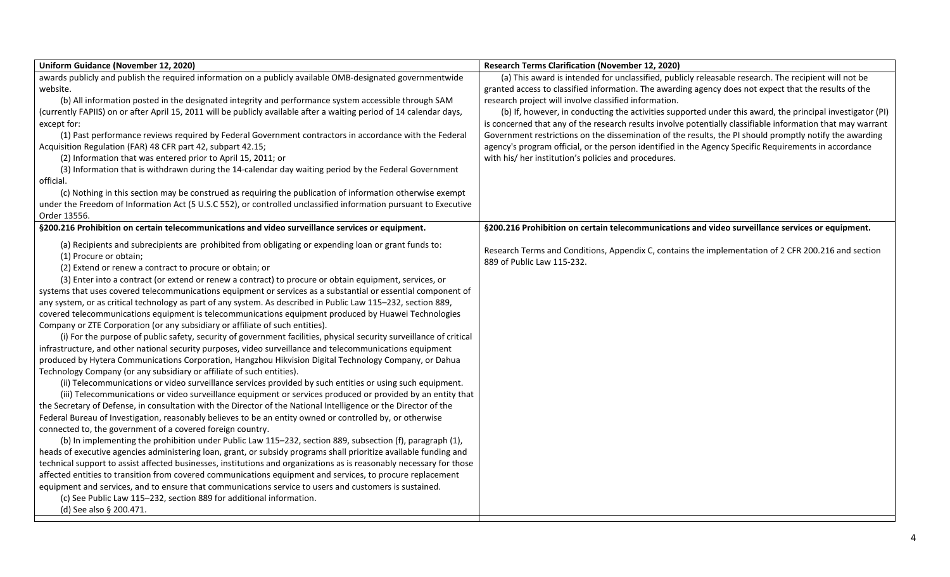| Uniform Guidance (November 12, 2020)                                                                                                                                                                                     | <b>Research Terms Clarification (November 12, 2020)</b>                                                                           |
|--------------------------------------------------------------------------------------------------------------------------------------------------------------------------------------------------------------------------|-----------------------------------------------------------------------------------------------------------------------------------|
| awards publicly and publish the required information on a publicly available OMB-designated governmentwide                                                                                                               | (a) This award is intended for unclassified, publicly releasable research. The recipient will not be                              |
| website.                                                                                                                                                                                                                 | granted access to classified information. The awarding agency does not expect that the results of the                             |
| (b) All information posted in the designated integrity and performance system accessible through SAM                                                                                                                     | research project will involve classified information.                                                                             |
| (currently FAPIIS) on or after April 15, 2011 will be publicly available after a waiting period of 14 calendar days,                                                                                                     | (b) If, however, in conducting the activities supported under this award, the principal investigator (PI)                         |
| except for:                                                                                                                                                                                                              | is concerned that any of the research results involve potentially classifiable information that may warrant                       |
| (1) Past performance reviews required by Federal Government contractors in accordance with the Federal                                                                                                                   | Government restrictions on the dissemination of the results, the PI should promptly notify the awarding                           |
| Acquisition Regulation (FAR) 48 CFR part 42, subpart 42.15;                                                                                                                                                              | agency's program official, or the person identified in the Agency Specific Requirements in accordance                             |
| (2) Information that was entered prior to April 15, 2011; or                                                                                                                                                             | with his/ her institution's policies and procedures.                                                                              |
| (3) Information that is withdrawn during the 14-calendar day waiting period by the Federal Government<br>official.                                                                                                       |                                                                                                                                   |
| (c) Nothing in this section may be construed as requiring the publication of information otherwise exempt                                                                                                                |                                                                                                                                   |
| under the Freedom of Information Act (5 U.S.C 552), or controlled unclassified information pursuant to Executive                                                                                                         |                                                                                                                                   |
| Order 13556.                                                                                                                                                                                                             |                                                                                                                                   |
| §200.216 Prohibition on certain telecommunications and video surveillance services or equipment.                                                                                                                         | §200.216 Prohibition on certain telecommunications and video surveillance services or equipment.                                  |
| (a) Recipients and subrecipients are prohibited from obligating or expending loan or grant funds to:<br>(1) Procure or obtain;                                                                                           | Research Terms and Conditions, Appendix C, contains the implementation of 2 CFR 200.216 and section<br>889 of Public Law 115-232. |
| (2) Extend or renew a contract to procure or obtain; or                                                                                                                                                                  |                                                                                                                                   |
| (3) Enter into a contract (or extend or renew a contract) to procure or obtain equipment, services, or                                                                                                                   |                                                                                                                                   |
| systems that uses covered telecommunications equipment or services as a substantial or essential component of                                                                                                            |                                                                                                                                   |
| any system, or as critical technology as part of any system. As described in Public Law 115-232, section 889,                                                                                                            |                                                                                                                                   |
| covered telecommunications equipment is telecommunications equipment produced by Huawei Technologies                                                                                                                     |                                                                                                                                   |
| Company or ZTE Corporation (or any subsidiary or affiliate of such entities).                                                                                                                                            |                                                                                                                                   |
| (i) For the purpose of public safety, security of government facilities, physical security surveillance of critical                                                                                                      |                                                                                                                                   |
| infrastructure, and other national security purposes, video surveillance and telecommunications equipment                                                                                                                |                                                                                                                                   |
| produced by Hytera Communications Corporation, Hangzhou Hikvision Digital Technology Company, or Dahua                                                                                                                   |                                                                                                                                   |
| Technology Company (or any subsidiary or affiliate of such entities).                                                                                                                                                    |                                                                                                                                   |
| (ii) Telecommunications or video surveillance services provided by such entities or using such equipment.<br>(iii) Telecommunications or video surveillance equipment or services produced or provided by an entity that |                                                                                                                                   |
| the Secretary of Defense, in consultation with the Director of the National Intelligence or the Director of the                                                                                                          |                                                                                                                                   |
| Federal Bureau of Investigation, reasonably believes to be an entity owned or controlled by, or otherwise                                                                                                                |                                                                                                                                   |
| connected to, the government of a covered foreign country.                                                                                                                                                               |                                                                                                                                   |
| (b) In implementing the prohibition under Public Law 115-232, section 889, subsection (f), paragraph (1),                                                                                                                |                                                                                                                                   |
| heads of executive agencies administering loan, grant, or subsidy programs shall prioritize available funding and                                                                                                        |                                                                                                                                   |
| technical support to assist affected businesses, institutions and organizations as is reasonably necessary for those                                                                                                     |                                                                                                                                   |
| affected entities to transition from covered communications equipment and services, to procure replacement                                                                                                               |                                                                                                                                   |
| equipment and services, and to ensure that communications service to users and customers is sustained.                                                                                                                   |                                                                                                                                   |
| (c) See Public Law 115-232, section 889 for additional information.                                                                                                                                                      |                                                                                                                                   |
| (d) See also § 200.471.                                                                                                                                                                                                  |                                                                                                                                   |
|                                                                                                                                                                                                                          |                                                                                                                                   |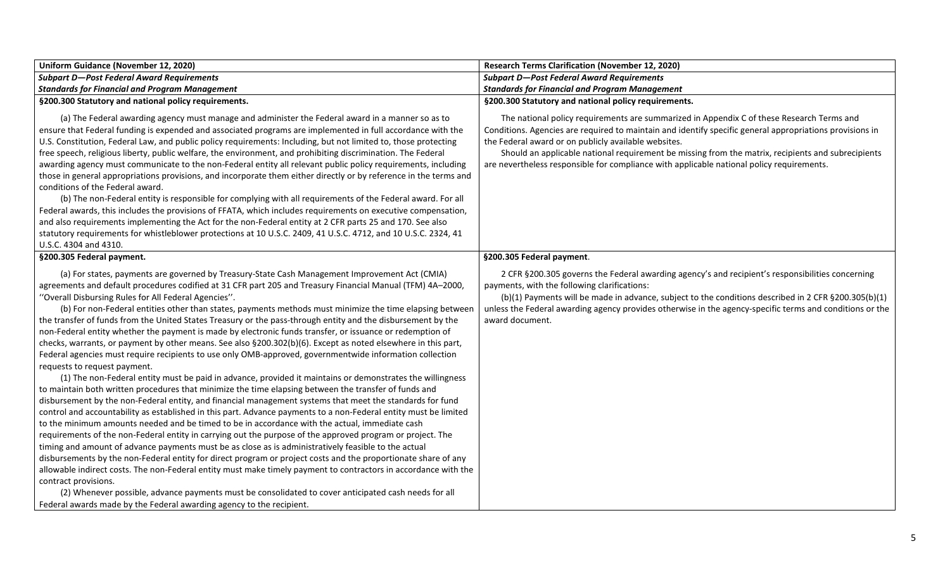| Uniform Guidance (November 12, 2020)                                                                                                                                                                                                                                                                                                                                                                                                                                                                                                                                                                                                                                                                                                                                                                                                                                                                                                                                                                                                                                                                                                                                                                                                                                                                                                                                                                                                                                                                                                                                                                                                                                                                                                                                                                                                                                                                                                                                                                                                                                                                   | <b>Research Terms Clarification (November 12, 2020)</b>                                                                                                                                                                                                                                                                                                                                                                                                          |
|--------------------------------------------------------------------------------------------------------------------------------------------------------------------------------------------------------------------------------------------------------------------------------------------------------------------------------------------------------------------------------------------------------------------------------------------------------------------------------------------------------------------------------------------------------------------------------------------------------------------------------------------------------------------------------------------------------------------------------------------------------------------------------------------------------------------------------------------------------------------------------------------------------------------------------------------------------------------------------------------------------------------------------------------------------------------------------------------------------------------------------------------------------------------------------------------------------------------------------------------------------------------------------------------------------------------------------------------------------------------------------------------------------------------------------------------------------------------------------------------------------------------------------------------------------------------------------------------------------------------------------------------------------------------------------------------------------------------------------------------------------------------------------------------------------------------------------------------------------------------------------------------------------------------------------------------------------------------------------------------------------------------------------------------------------------------------------------------------------|------------------------------------------------------------------------------------------------------------------------------------------------------------------------------------------------------------------------------------------------------------------------------------------------------------------------------------------------------------------------------------------------------------------------------------------------------------------|
| <b>Subpart D-Post Federal Award Requirements</b>                                                                                                                                                                                                                                                                                                                                                                                                                                                                                                                                                                                                                                                                                                                                                                                                                                                                                                                                                                                                                                                                                                                                                                                                                                                                                                                                                                                                                                                                                                                                                                                                                                                                                                                                                                                                                                                                                                                                                                                                                                                       | <b>Subpart D-Post Federal Award Requirements</b>                                                                                                                                                                                                                                                                                                                                                                                                                 |
| <b>Standards for Financial and Program Management</b>                                                                                                                                                                                                                                                                                                                                                                                                                                                                                                                                                                                                                                                                                                                                                                                                                                                                                                                                                                                                                                                                                                                                                                                                                                                                                                                                                                                                                                                                                                                                                                                                                                                                                                                                                                                                                                                                                                                                                                                                                                                  | <b>Standards for Financial and Program Management</b>                                                                                                                                                                                                                                                                                                                                                                                                            |
| §200.300 Statutory and national policy requirements.                                                                                                                                                                                                                                                                                                                                                                                                                                                                                                                                                                                                                                                                                                                                                                                                                                                                                                                                                                                                                                                                                                                                                                                                                                                                                                                                                                                                                                                                                                                                                                                                                                                                                                                                                                                                                                                                                                                                                                                                                                                   | §200.300 Statutory and national policy requirements.                                                                                                                                                                                                                                                                                                                                                                                                             |
| (a) The Federal awarding agency must manage and administer the Federal award in a manner so as to<br>ensure that Federal funding is expended and associated programs are implemented in full accordance with the<br>U.S. Constitution, Federal Law, and public policy requirements: Including, but not limited to, those protecting<br>free speech, religious liberty, public welfare, the environment, and prohibiting discrimination. The Federal<br>awarding agency must communicate to the non-Federal entity all relevant public policy requirements, including<br>those in general appropriations provisions, and incorporate them either directly or by reference in the terms and<br>conditions of the Federal award.<br>(b) The non-Federal entity is responsible for complying with all requirements of the Federal award. For all<br>Federal awards, this includes the provisions of FFATA, which includes requirements on executive compensation,<br>and also requirements implementing the Act for the non-Federal entity at 2 CFR parts 25 and 170. See also<br>statutory requirements for whistleblower protections at 10 U.S.C. 2409, 41 U.S.C. 4712, and 10 U.S.C. 2324, 41<br>U.S.C. 4304 and 4310.                                                                                                                                                                                                                                                                                                                                                                                                                                                                                                                                                                                                                                                                                                                                                                                                                                                                                  | The national policy requirements are summarized in Appendix C of these Research Terms and<br>Conditions. Agencies are required to maintain and identify specific general appropriations provisions in<br>the Federal award or on publicly available websites.<br>Should an applicable national requirement be missing from the matrix, recipients and subrecipients<br>are nevertheless responsible for compliance with applicable national policy requirements. |
| §200.305 Federal payment.                                                                                                                                                                                                                                                                                                                                                                                                                                                                                                                                                                                                                                                                                                                                                                                                                                                                                                                                                                                                                                                                                                                                                                                                                                                                                                                                                                                                                                                                                                                                                                                                                                                                                                                                                                                                                                                                                                                                                                                                                                                                              | §200.305 Federal payment.                                                                                                                                                                                                                                                                                                                                                                                                                                        |
| (a) For states, payments are governed by Treasury-State Cash Management Improvement Act (CMIA)<br>agreements and default procedures codified at 31 CFR part 205 and Treasury Financial Manual (TFM) 4A-2000,<br>"Overall Disbursing Rules for All Federal Agencies".<br>(b) For non-Federal entities other than states, payments methods must minimize the time elapsing between<br>the transfer of funds from the United States Treasury or the pass-through entity and the disbursement by the<br>non-Federal entity whether the payment is made by electronic funds transfer, or issuance or redemption of<br>checks, warrants, or payment by other means. See also §200.302(b)(6). Except as noted elsewhere in this part,<br>Federal agencies must require recipients to use only OMB-approved, governmentwide information collection<br>requests to request payment.<br>(1) The non-Federal entity must be paid in advance, provided it maintains or demonstrates the willingness<br>to maintain both written procedures that minimize the time elapsing between the transfer of funds and<br>disbursement by the non-Federal entity, and financial management systems that meet the standards for fund<br>control and accountability as established in this part. Advance payments to a non-Federal entity must be limited<br>to the minimum amounts needed and be timed to be in accordance with the actual, immediate cash<br>requirements of the non-Federal entity in carrying out the purpose of the approved program or project. The<br>timing and amount of advance payments must be as close as is administratively feasible to the actual<br>disbursements by the non-Federal entity for direct program or project costs and the proportionate share of any<br>allowable indirect costs. The non-Federal entity must make timely payment to contractors in accordance with the<br>contract provisions.<br>(2) Whenever possible, advance payments must be consolidated to cover anticipated cash needs for all<br>Federal awards made by the Federal awarding agency to the recipient. | 2 CFR §200.305 governs the Federal awarding agency's and recipient's responsibilities concerning<br>payments, with the following clarifications:<br>(b)(1) Payments will be made in advance, subject to the conditions described in 2 CFR §200.305(b)(1)<br>unless the Federal awarding agency provides otherwise in the agency-specific terms and conditions or the<br>award document.                                                                          |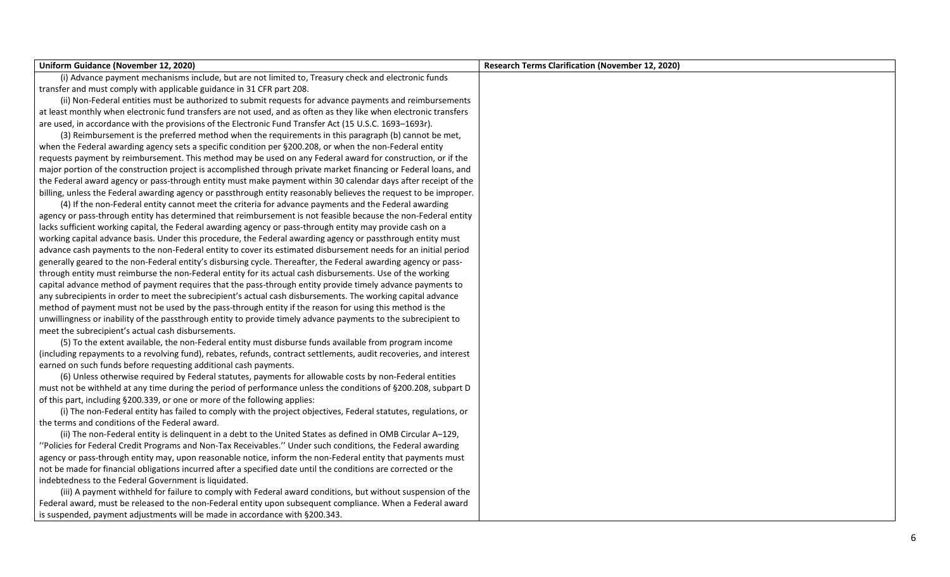| Uniform Guidance (November 12, 2020)                                                                               | <b>Research Terms Clarification (November 12, 2020)</b> |
|--------------------------------------------------------------------------------------------------------------------|---------------------------------------------------------|
| (i) Advance payment mechanisms include, but are not limited to, Treasury check and electronic funds                |                                                         |
| transfer and must comply with applicable guidance in 31 CFR part 208.                                              |                                                         |
| (ii) Non-Federal entities must be authorized to submit requests for advance payments and reimbursements            |                                                         |
| at least monthly when electronic fund transfers are not used, and as often as they like when electronic transfers  |                                                         |
| are used, in accordance with the provisions of the Electronic Fund Transfer Act (15 U.S.C. 1693-1693r).            |                                                         |
| (3) Reimbursement is the preferred method when the requirements in this paragraph (b) cannot be met,               |                                                         |
| when the Federal awarding agency sets a specific condition per §200.208, or when the non-Federal entity            |                                                         |
| requests payment by reimbursement. This method may be used on any Federal award for construction, or if the        |                                                         |
| major portion of the construction project is accomplished through private market financing or Federal loans, and   |                                                         |
| the Federal award agency or pass-through entity must make payment within 30 calendar days after receipt of the     |                                                         |
| billing, unless the Federal awarding agency or passthrough entity reasonably believes the request to be improper.  |                                                         |
| (4) If the non-Federal entity cannot meet the criteria for advance payments and the Federal awarding               |                                                         |
| agency or pass-through entity has determined that reimbursement is not feasible because the non-Federal entity     |                                                         |
| lacks sufficient working capital, the Federal awarding agency or pass-through entity may provide cash on a         |                                                         |
| working capital advance basis. Under this procedure, the Federal awarding agency or passthrough entity must        |                                                         |
| advance cash payments to the non-Federal entity to cover its estimated disbursement needs for an initial period    |                                                         |
| generally geared to the non-Federal entity's disbursing cycle. Thereafter, the Federal awarding agency or pass-    |                                                         |
| through entity must reimburse the non-Federal entity for its actual cash disbursements. Use of the working         |                                                         |
| capital advance method of payment requires that the pass-through entity provide timely advance payments to         |                                                         |
| any subrecipients in order to meet the subrecipient's actual cash disbursements. The working capital advance       |                                                         |
| method of payment must not be used by the pass-through entity if the reason for using this method is the           |                                                         |
| unwillingness or inability of the passthrough entity to provide timely advance payments to the subrecipient to     |                                                         |
| meet the subrecipient's actual cash disbursements.                                                                 |                                                         |
| (5) To the extent available, the non-Federal entity must disburse funds available from program income              |                                                         |
| (including repayments to a revolving fund), rebates, refunds, contract settlements, audit recoveries, and interest |                                                         |
| earned on such funds before requesting additional cash payments.                                                   |                                                         |
| (6) Unless otherwise required by Federal statutes, payments for allowable costs by non-Federal entities            |                                                         |
| must not be withheld at any time during the period of performance unless the conditions of §200.208, subpart D     |                                                         |
| of this part, including §200.339, or one or more of the following applies:                                         |                                                         |
| (i) The non-Federal entity has failed to comply with the project objectives, Federal statutes, regulations, or     |                                                         |
| the terms and conditions of the Federal award.                                                                     |                                                         |
| (ii) The non-Federal entity is delinquent in a debt to the United States as defined in OMB Circular A-129,         |                                                         |
| "Policies for Federal Credit Programs and Non-Tax Receivables." Under such conditions, the Federal awarding        |                                                         |
| agency or pass-through entity may, upon reasonable notice, inform the non-Federal entity that payments must        |                                                         |
| not be made for financial obligations incurred after a specified date until the conditions are corrected or the    |                                                         |
| indebtedness to the Federal Government is liquidated.                                                              |                                                         |
| (iii) A payment withheld for failure to comply with Federal award conditions, but without suspension of the        |                                                         |
| Federal award, must be released to the non-Federal entity upon subsequent compliance. When a Federal award         |                                                         |
| is suspended, payment adjustments will be made in accordance with §200.343.                                        |                                                         |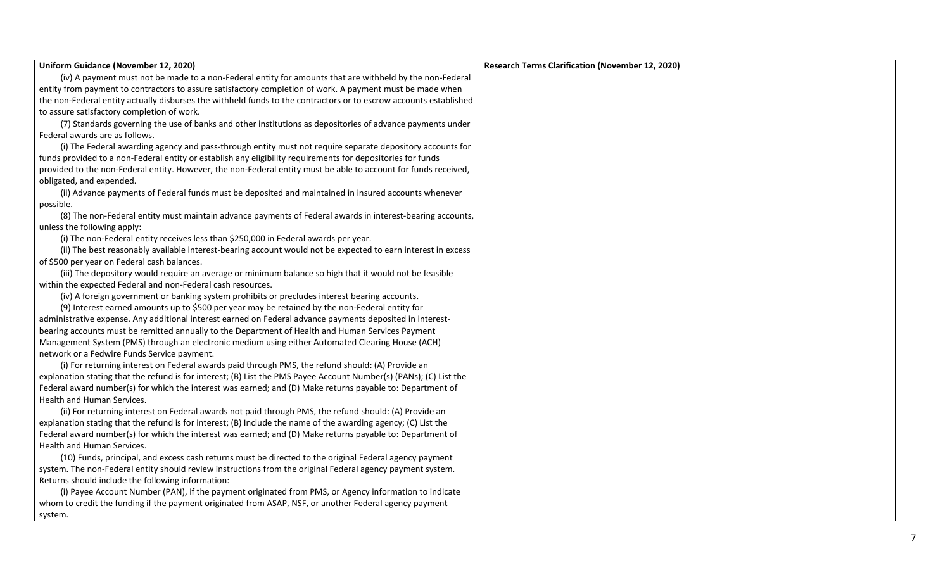| Uniform Guidance (November 12, 2020)                                                                               | <b>Research Terms Clarification (November 12, 2020)</b> |
|--------------------------------------------------------------------------------------------------------------------|---------------------------------------------------------|
| (iv) A payment must not be made to a non-Federal entity for amounts that are withheld by the non-Federal           |                                                         |
| entity from payment to contractors to assure satisfactory completion of work. A payment must be made when          |                                                         |
| the non-Federal entity actually disburses the withheld funds to the contractors or to escrow accounts established  |                                                         |
| to assure satisfactory completion of work.                                                                         |                                                         |
| (7) Standards governing the use of banks and other institutions as depositories of advance payments under          |                                                         |
| Federal awards are as follows.                                                                                     |                                                         |
| (i) The Federal awarding agency and pass-through entity must not require separate depository accounts for          |                                                         |
| funds provided to a non-Federal entity or establish any eligibility requirements for depositories for funds        |                                                         |
| provided to the non-Federal entity. However, the non-Federal entity must be able to account for funds received,    |                                                         |
| obligated, and expended.                                                                                           |                                                         |
| (ii) Advance payments of Federal funds must be deposited and maintained in insured accounts whenever               |                                                         |
| possible.                                                                                                          |                                                         |
| (8) The non-Federal entity must maintain advance payments of Federal awards in interest-bearing accounts,          |                                                         |
| unless the following apply:                                                                                        |                                                         |
| (i) The non-Federal entity receives less than \$250,000 in Federal awards per year.                                |                                                         |
| (ii) The best reasonably available interest-bearing account would not be expected to earn interest in excess       |                                                         |
| of \$500 per year on Federal cash balances.                                                                        |                                                         |
| (iii) The depository would require an average or minimum balance so high that it would not be feasible             |                                                         |
| within the expected Federal and non-Federal cash resources.                                                        |                                                         |
| (iv) A foreign government or banking system prohibits or precludes interest bearing accounts.                      |                                                         |
| (9) Interest earned amounts up to \$500 per year may be retained by the non-Federal entity for                     |                                                         |
| administrative expense. Any additional interest earned on Federal advance payments deposited in interest-          |                                                         |
| bearing accounts must be remitted annually to the Department of Health and Human Services Payment                  |                                                         |
| Management System (PMS) through an electronic medium using either Automated Clearing House (ACH)                   |                                                         |
| network or a Fedwire Funds Service payment.                                                                        |                                                         |
| (i) For returning interest on Federal awards paid through PMS, the refund should: (A) Provide an                   |                                                         |
| explanation stating that the refund is for interest; (B) List the PMS Payee Account Number(s) (PANs); (C) List the |                                                         |
| Federal award number(s) for which the interest was earned; and (D) Make returns payable to: Department of          |                                                         |
| Health and Human Services.                                                                                         |                                                         |
| (ii) For returning interest on Federal awards not paid through PMS, the refund should: (A) Provide an              |                                                         |
| explanation stating that the refund is for interest; (B) Include the name of the awarding agency; (C) List the     |                                                         |
| Federal award number(s) for which the interest was earned; and (D) Make returns payable to: Department of          |                                                         |
| Health and Human Services.                                                                                         |                                                         |
| (10) Funds, principal, and excess cash returns must be directed to the original Federal agency payment             |                                                         |
| system. The non-Federal entity should review instructions from the original Federal agency payment system.         |                                                         |
| Returns should include the following information:                                                                  |                                                         |
| (i) Payee Account Number (PAN), if the payment originated from PMS, or Agency information to indicate              |                                                         |
| whom to credit the funding if the payment originated from ASAP, NSF, or another Federal agency payment             |                                                         |
| system.                                                                                                            |                                                         |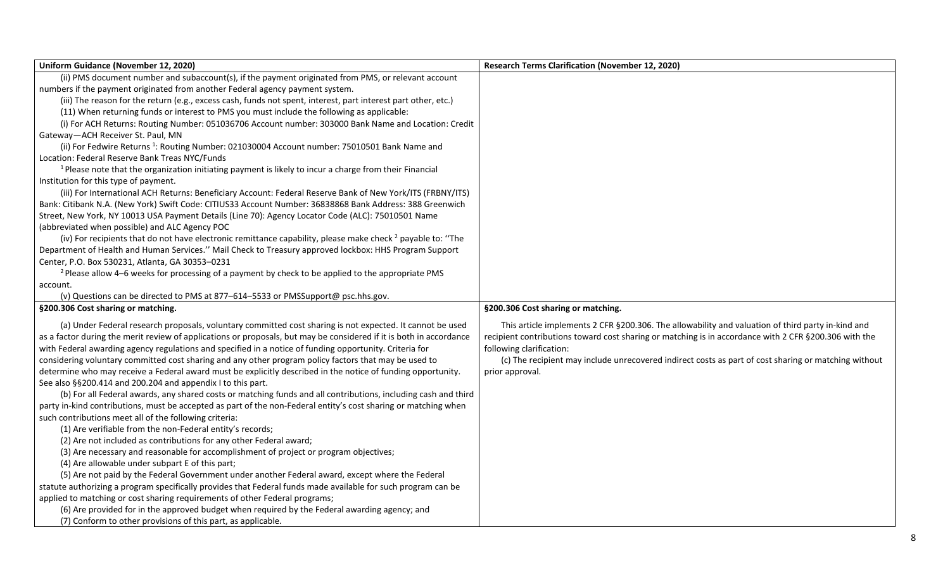| Uniform Guidance (November 12, 2020)                                                                                            | <b>Research Terms Clarification (November 12, 2020)</b>                                               |
|---------------------------------------------------------------------------------------------------------------------------------|-------------------------------------------------------------------------------------------------------|
| (ii) PMS document number and subaccount(s), if the payment originated from PMS, or relevant account                             |                                                                                                       |
| numbers if the payment originated from another Federal agency payment system.                                                   |                                                                                                       |
| (iii) The reason for the return (e.g., excess cash, funds not spent, interest, part interest part other, etc.)                  |                                                                                                       |
| (11) When returning funds or interest to PMS you must include the following as applicable:                                      |                                                                                                       |
| (i) For ACH Returns: Routing Number: 051036706 Account number: 303000 Bank Name and Location: Credit                            |                                                                                                       |
| Gateway-ACH Receiver St. Paul, MN                                                                                               |                                                                                                       |
| (ii) For Fedwire Returns <sup>1</sup> : Routing Number: 021030004 Account number: 75010501 Bank Name and                        |                                                                                                       |
| Location: Federal Reserve Bank Treas NYC/Funds                                                                                  |                                                                                                       |
| <sup>1</sup> Please note that the organization initiating payment is likely to incur a charge from their Financial              |                                                                                                       |
| Institution for this type of payment.                                                                                           |                                                                                                       |
| (iii) For International ACH Returns: Beneficiary Account: Federal Reserve Bank of New York/ITS (FRBNY/ITS)                      |                                                                                                       |
| Bank: Citibank N.A. (New York) Swift Code: CITIUS33 Account Number: 36838868 Bank Address: 388 Greenwich                        |                                                                                                       |
| Street, New York, NY 10013 USA Payment Details (Line 70): Agency Locator Code (ALC): 75010501 Name                              |                                                                                                       |
| (abbreviated when possible) and ALC Agency POC                                                                                  |                                                                                                       |
| (iv) For recipients that do not have electronic remittance capability, please make check <sup>2</sup> payable to: "The          |                                                                                                       |
| Department of Health and Human Services." Mail Check to Treasury approved lockbox: HHS Program Support                          |                                                                                                       |
| Center, P.O. Box 530231, Atlanta, GA 30353-0231                                                                                 |                                                                                                       |
| <sup>2</sup> Please allow 4–6 weeks for processing of a payment by check to be applied to the appropriate PMS                   |                                                                                                       |
| account.                                                                                                                        |                                                                                                       |
| (v) Questions can be directed to PMS at 877-614-5533 or PMSSupport@ psc.hhs.gov.                                                |                                                                                                       |
| §200.306 Cost sharing or matching.                                                                                              | §200.306 Cost sharing or matching.                                                                    |
| (a) Under Federal research proposals, voluntary committed cost sharing is not expected. It cannot be used                       | This article implements 2 CFR §200.306. The allowability and valuation of third party in-kind and     |
| as a factor during the merit review of applications or proposals, but may be considered if it is both in accordance             | recipient contributions toward cost sharing or matching is in accordance with 2 CFR §200.306 with the |
| with Federal awarding agency regulations and specified in a notice of funding opportunity. Criteria for                         | following clarification:                                                                              |
| considering voluntary committed cost sharing and any other program policy factors that may be used to                           | (c) The recipient may include unrecovered indirect costs as part of cost sharing or matching without  |
| determine who may receive a Federal award must be explicitly described in the notice of funding opportunity.<br>prior approval. |                                                                                                       |
| See also §§200.414 and 200.204 and appendix I to this part.                                                                     |                                                                                                       |
| (b) For all Federal awards, any shared costs or matching funds and all contributions, including cash and third                  |                                                                                                       |
| party in-kind contributions, must be accepted as part of the non-Federal entity's cost sharing or matching when                 |                                                                                                       |
| such contributions meet all of the following criteria:                                                                          |                                                                                                       |
| (1) Are verifiable from the non-Federal entity's records;                                                                       |                                                                                                       |
| (2) Are not included as contributions for any other Federal award;                                                              |                                                                                                       |
| (3) Are necessary and reasonable for accomplishment of project or program objectives;                                           |                                                                                                       |
| (4) Are allowable under subpart E of this part;                                                                                 |                                                                                                       |
| (5) Are not paid by the Federal Government under another Federal award, except where the Federal                                |                                                                                                       |
| statute authorizing a program specifically provides that Federal funds made available for such program can be                   |                                                                                                       |
| applied to matching or cost sharing requirements of other Federal programs;                                                     |                                                                                                       |
| (6) Are provided for in the approved budget when required by the Federal awarding agency; and                                   |                                                                                                       |
| (7) Conform to other provisions of this part, as applicable.                                                                    |                                                                                                       |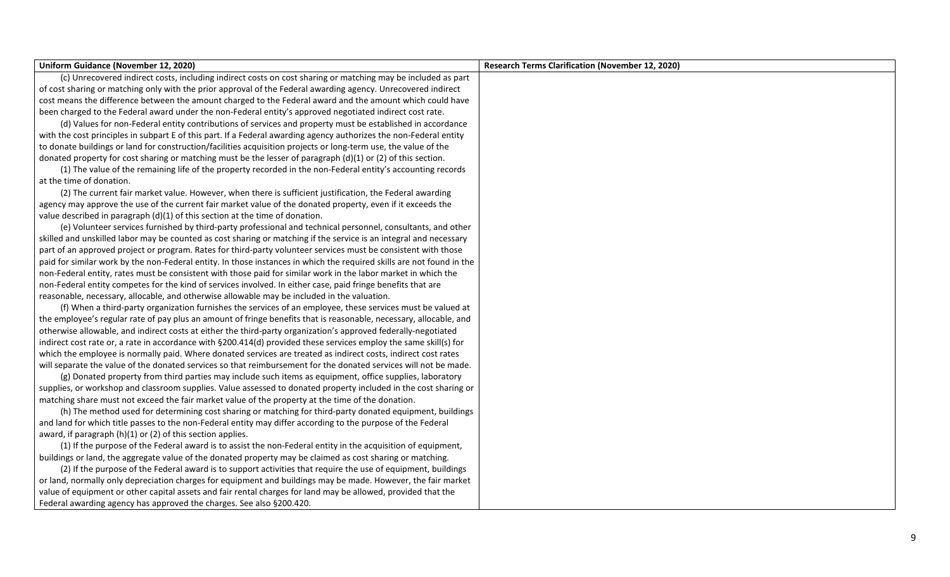| Uniform Guidance (November 12, 2020)                                                                                  | <b>Research Terms Clarification (November 12, 2020)</b> |
|-----------------------------------------------------------------------------------------------------------------------|---------------------------------------------------------|
| (c) Unrecovered indirect costs, including indirect costs on cost sharing or matching may be included as part          |                                                         |
| of cost sharing or matching only with the prior approval of the Federal awarding agency. Unrecovered indirect         |                                                         |
| cost means the difference between the amount charged to the Federal award and the amount which could have             |                                                         |
| been charged to the Federal award under the non-Federal entity's approved negotiated indirect cost rate.              |                                                         |
| (d) Values for non-Federal entity contributions of services and property must be established in accordance            |                                                         |
| with the cost principles in subpart E of this part. If a Federal awarding agency authorizes the non-Federal entity    |                                                         |
| to donate buildings or land for construction/facilities acquisition projects or long-term use, the value of the       |                                                         |
| donated property for cost sharing or matching must be the lesser of paragraph $(d)(1)$ or (2) of this section.        |                                                         |
| (1) The value of the remaining life of the property recorded in the non-Federal entity's accounting records           |                                                         |
| at the time of donation.                                                                                              |                                                         |
| (2) The current fair market value. However, when there is sufficient justification, the Federal awarding              |                                                         |
| agency may approve the use of the current fair market value of the donated property, even if it exceeds the           |                                                         |
| value described in paragraph (d)(1) of this section at the time of donation.                                          |                                                         |
| (e) Volunteer services furnished by third-party professional and technical personnel, consultants, and other          |                                                         |
| skilled and unskilled labor may be counted as cost sharing or matching if the service is an integral and necessary    |                                                         |
| part of an approved project or program. Rates for third-party volunteer services must be consistent with those        |                                                         |
| paid for similar work by the non-Federal entity. In those instances in which the required skills are not found in the |                                                         |
| non-Federal entity, rates must be consistent with those paid for similar work in the labor market in which the        |                                                         |
| non-Federal entity competes for the kind of services involved. In either case, paid fringe benefits that are          |                                                         |
| reasonable, necessary, allocable, and otherwise allowable may be included in the valuation.                           |                                                         |
| (f) When a third-party organization furnishes the services of an employee, these services must be valued at           |                                                         |
| the employee's regular rate of pay plus an amount of fringe benefits that is reasonable, necessary, allocable, and    |                                                         |
| otherwise allowable, and indirect costs at either the third-party organization's approved federally-negotiated        |                                                         |
| indirect cost rate or, a rate in accordance with §200.414(d) provided these services employ the same skill(s) for     |                                                         |
| which the employee is normally paid. Where donated services are treated as indirect costs, indirect cost rates        |                                                         |
| will separate the value of the donated services so that reimbursement for the donated services will not be made.      |                                                         |
| (g) Donated property from third parties may include such items as equipment, office supplies, laboratory              |                                                         |
| supplies, or workshop and classroom supplies. Value assessed to donated property included in the cost sharing or      |                                                         |
| matching share must not exceed the fair market value of the property at the time of the donation.                     |                                                         |
| (h) The method used for determining cost sharing or matching for third-party donated equipment, buildings             |                                                         |
| and land for which title passes to the non-Federal entity may differ according to the purpose of the Federal          |                                                         |
| award, if paragraph (h)(1) or (2) of this section applies.                                                            |                                                         |
| (1) If the purpose of the Federal award is to assist the non-Federal entity in the acquisition of equipment,          |                                                         |
| buildings or land, the aggregate value of the donated property may be claimed as cost sharing or matching.            |                                                         |
| (2) If the purpose of the Federal award is to support activities that require the use of equipment, buildings         |                                                         |
| or land, normally only depreciation charges for equipment and buildings may be made. However, the fair market         |                                                         |
| value of equipment or other capital assets and fair rental charges for land may be allowed, provided that the         |                                                         |
| Federal awarding agency has approved the charges. See also §200.420.                                                  |                                                         |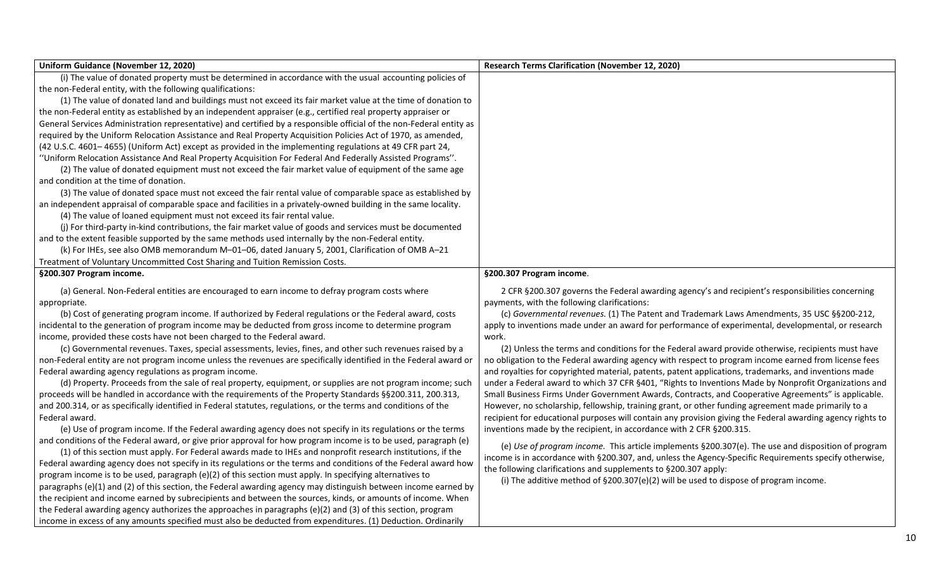| Uniform Guidance (November 12, 2020)                                                                                 | <b>Research Terms Clarification (November 12, 2020)</b>                                                    |
|----------------------------------------------------------------------------------------------------------------------|------------------------------------------------------------------------------------------------------------|
| (i) The value of donated property must be determined in accordance with the usual accounting policies of             |                                                                                                            |
| the non-Federal entity, with the following qualifications:                                                           |                                                                                                            |
| (1) The value of donated land and buildings must not exceed its fair market value at the time of donation to         |                                                                                                            |
| the non-Federal entity as established by an independent appraiser (e.g., certified real property appraiser or        |                                                                                                            |
| General Services Administration representative) and certified by a responsible official of the non-Federal entity as |                                                                                                            |
| required by the Uniform Relocation Assistance and Real Property Acquisition Policies Act of 1970, as amended,        |                                                                                                            |
| (42 U.S.C. 4601-4655) (Uniform Act) except as provided in the implementing regulations at 49 CFR part 24,            |                                                                                                            |
| "Uniform Relocation Assistance And Real Property Acquisition For Federal And Federally Assisted Programs".           |                                                                                                            |
| (2) The value of donated equipment must not exceed the fair market value of equipment of the same age                |                                                                                                            |
| and condition at the time of donation.                                                                               |                                                                                                            |
| (3) The value of donated space must not exceed the fair rental value of comparable space as established by           |                                                                                                            |
| an independent appraisal of comparable space and facilities in a privately-owned building in the same locality.      |                                                                                                            |
| (4) The value of loaned equipment must not exceed its fair rental value.                                             |                                                                                                            |
| (j) For third-party in-kind contributions, the fair market value of goods and services must be documented            |                                                                                                            |
| and to the extent feasible supported by the same methods used internally by the non-Federal entity.                  |                                                                                                            |
| (k) For IHEs, see also OMB memorandum M-01-06, dated January 5, 2001, Clarification of OMB A-21                      |                                                                                                            |
| Treatment of Voluntary Uncommitted Cost Sharing and Tuition Remission Costs.                                         |                                                                                                            |
| §200.307 Program income.                                                                                             | §200.307 Program income.                                                                                   |
| (a) General. Non-Federal entities are encouraged to earn income to defray program costs where                        | 2 CFR §200.307 governs the Federal awarding agency's and recipient's responsibilities concerning           |
| appropriate.                                                                                                         | payments, with the following clarifications:                                                               |
| (b) Cost of generating program income. If authorized by Federal regulations or the Federal award, costs              | (c) Governmental revenues. (1) The Patent and Trademark Laws Amendments, 35 USC §§200-212,                 |
| incidental to the generation of program income may be deducted from gross income to determine program                | apply to inventions made under an award for performance of experimental, developmental, or research        |
| income, provided these costs have not been charged to the Federal award.                                             | work.                                                                                                      |
| (c) Governmental revenues. Taxes, special assessments, levies, fines, and other such revenues raised by a            | (2) Unless the terms and conditions for the Federal award provide otherwise, recipients must have          |
| non-Federal entity are not program income unless the revenues are specifically identified in the Federal award or    | no obligation to the Federal awarding agency with respect to program income earned from license fees       |
| Federal awarding agency regulations as program income.                                                               | and royalties for copyrighted material, patents, patent applications, trademarks, and inventions made      |
| (d) Property. Proceeds from the sale of real property, equipment, or supplies are not program income; such           | under a Federal award to which 37 CFR §401, "Rights to Inventions Made by Nonprofit Organizations and      |
| proceeds will be handled in accordance with the requirements of the Property Standards §§200.311, 200.313,           | Small Business Firms Under Government Awards, Contracts, and Cooperative Agreements" is applicable.        |
| and 200.314, or as specifically identified in Federal statutes, regulations, or the terms and conditions of the      | However, no scholarship, fellowship, training grant, or other funding agreement made primarily to a        |
| Federal award.                                                                                                       | recipient for educational purposes will contain any provision giving the Federal awarding agency rights to |
| (e) Use of program income. If the Federal awarding agency does not specify in its regulations or the terms           | inventions made by the recipient, in accordance with 2 CFR §200.315.                                       |
| and conditions of the Federal award, or give prior approval for how program income is to be used, paragraph (e)      | (e) Use of program income. This article implements §200.307(e). The use and disposition of program         |
| (1) of this section must apply. For Federal awards made to IHEs and nonprofit research institutions, if the          | income is in accordance with §200.307, and, unless the Agency-Specific Requirements specify otherwise,     |
| Federal awarding agency does not specify in its regulations or the terms and conditions of the Federal award how     | the following clarifications and supplements to §200.307 apply:                                            |
| program income is to be used, paragraph (e)(2) of this section must apply. In specifying alternatives to             | (i) The additive method of $\S200.307(e)(2)$ will be used to dispose of program income.                    |
| paragraphs (e)(1) and (2) of this section, the Federal awarding agency may distinguish between income earned by      |                                                                                                            |
| the recipient and income earned by subrecipients and between the sources, kinds, or amounts of income. When          |                                                                                                            |
| the Federal awarding agency authorizes the approaches in paragraphs (e)(2) and (3) of this section, program          |                                                                                                            |
| income in excess of any amounts specified must also be deducted from expenditures. (1) Deduction. Ordinarily         |                                                                                                            |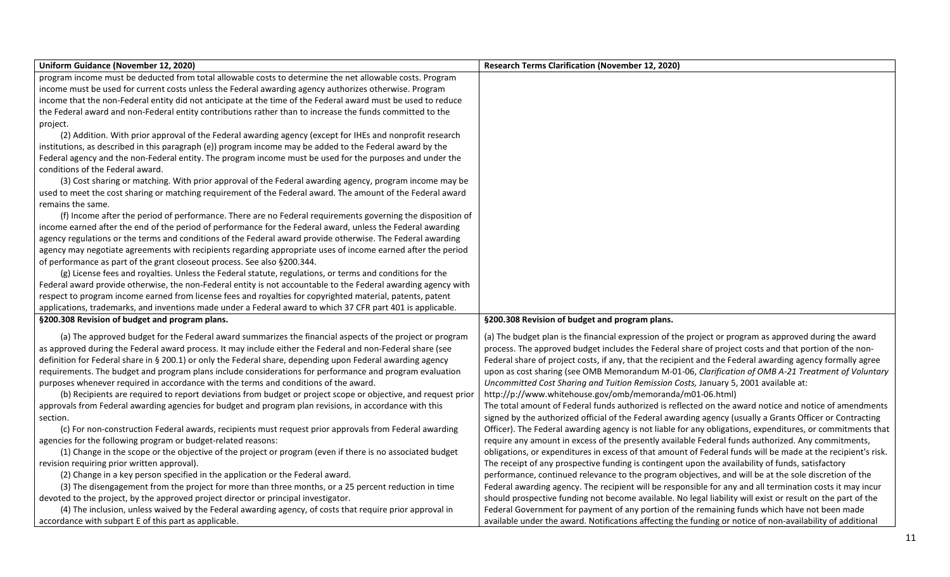| Uniform Guidance (November 12, 2020)                                                                           | <b>Research Terms Clarification (November 12, 2020)</b>                                                      |
|----------------------------------------------------------------------------------------------------------------|--------------------------------------------------------------------------------------------------------------|
| program income must be deducted from total allowable costs to determine the net allowable costs. Program       |                                                                                                              |
| income must be used for current costs unless the Federal awarding agency authorizes otherwise. Program         |                                                                                                              |
| income that the non-Federal entity did not anticipate at the time of the Federal award must be used to reduce  |                                                                                                              |
| the Federal award and non-Federal entity contributions rather than to increase the funds committed to the      |                                                                                                              |
| project.                                                                                                       |                                                                                                              |
| (2) Addition. With prior approval of the Federal awarding agency (except for IHEs and nonprofit research       |                                                                                                              |
| institutions, as described in this paragraph (e)) program income may be added to the Federal award by the      |                                                                                                              |
| Federal agency and the non-Federal entity. The program income must be used for the purposes and under the      |                                                                                                              |
| conditions of the Federal award.                                                                               |                                                                                                              |
| (3) Cost sharing or matching. With prior approval of the Federal awarding agency, program income may be        |                                                                                                              |
| used to meet the cost sharing or matching requirement of the Federal award. The amount of the Federal award    |                                                                                                              |
| remains the same.                                                                                              |                                                                                                              |
| (f) Income after the period of performance. There are no Federal requirements governing the disposition of     |                                                                                                              |
| income earned after the end of the period of performance for the Federal award, unless the Federal awarding    |                                                                                                              |
| agency regulations or the terms and conditions of the Federal award provide otherwise. The Federal awarding    |                                                                                                              |
| agency may negotiate agreements with recipients regarding appropriate uses of income earned after the period   |                                                                                                              |
| of performance as part of the grant closeout process. See also §200.344.                                       |                                                                                                              |
| (g) License fees and royalties. Unless the Federal statute, regulations, or terms and conditions for the       |                                                                                                              |
| Federal award provide otherwise, the non-Federal entity is not accountable to the Federal awarding agency with |                                                                                                              |
| respect to program income earned from license fees and royalties for copyrighted material, patents, patent     |                                                                                                              |
| applications, trademarks, and inventions made under a Federal award to which 37 CFR part 401 is applicable.    |                                                                                                              |
| §200.308 Revision of budget and program plans.                                                                 | §200.308 Revision of budget and program plans.                                                               |
| (a) The approved budget for the Federal award summarizes the financial aspects of the project or program       | (a) The budget plan is the financial expression of the project or program as approved during the award       |
| as approved during the Federal award process. It may include either the Federal and non-Federal share (see     | process. The approved budget includes the Federal share of project costs and that portion of the non-        |
| definition for Federal share in § 200.1) or only the Federal share, depending upon Federal awarding agency     | Federal share of project costs, if any, that the recipient and the Federal awarding agency formally agree    |
| requirements. The budget and program plans include considerations for performance and program evaluation       | upon as cost sharing (see OMB Memorandum M-01-06, Clarification of OMB A-21 Treatment of Voluntary           |
| purposes whenever required in accordance with the terms and conditions of the award.                           | Uncommitted Cost Sharing and Tuition Remission Costs, January 5, 2001 available at:                          |
| (b) Recipients are required to report deviations from budget or project scope or objective, and request prior  | http://p://www.whitehouse.gov/omb/memoranda/m01-06.html)                                                     |
| approvals from Federal awarding agencies for budget and program plan revisions, in accordance with this        | The total amount of Federal funds authorized is reflected on the award notice and notice of amendments       |
| section.                                                                                                       | signed by the authorized official of the Federal awarding agency (usually a Grants Officer or Contracting    |
| (c) For non-construction Federal awards, recipients must request prior approvals from Federal awarding         | Officer). The Federal awarding agency is not liable for any obligations, expenditures, or commitments that   |
| agencies for the following program or budget-related reasons:                                                  | require any amount in excess of the presently available Federal funds authorized. Any commitments,           |
| (1) Change in the scope or the objective of the project or program (even if there is no associated budget      | obligations, or expenditures in excess of that amount of Federal funds will be made at the recipient's risk. |
| revision requiring prior written approval).                                                                    | The receipt of any prospective funding is contingent upon the availability of funds, satisfactory            |
| (2) Change in a key person specified in the application or the Federal award.                                  | performance, continued relevance to the program objectives, and will be at the sole discretion of the        |
| (3) The disengagement from the project for more than three months, or a 25 percent reduction in time           | Federal awarding agency. The recipient will be responsible for any and all termination costs it may incur    |
| devoted to the project, by the approved project director or principal investigator.                            | should prospective funding not become available. No legal liability will exist or result on the part of the  |
| (4) The inclusion, unless waived by the Federal awarding agency, of costs that require prior approval in       | Federal Government for payment of any portion of the remaining funds which have not been made                |
| accordance with subpart E of this part as applicable.                                                          | available under the award. Notifications affecting the funding or notice of non-availability of additional   |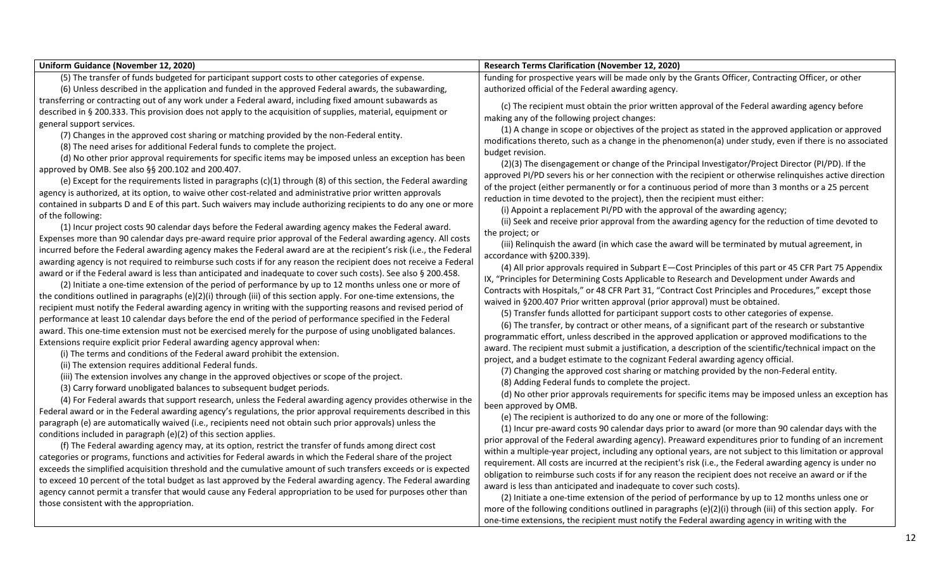| Uniform Guidance (November 12, 2020)                                                                                                                                                                                             | <b>Research Terms Clarification (November 12, 2020)</b>                                                      |
|----------------------------------------------------------------------------------------------------------------------------------------------------------------------------------------------------------------------------------|--------------------------------------------------------------------------------------------------------------|
| (5) The transfer of funds budgeted for participant support costs to other categories of expense.                                                                                                                                 | funding for prospective years will be made only by the Grants Officer, Contracting Officer, or other         |
| (6) Unless described in the application and funded in the approved Federal awards, the subawarding,                                                                                                                              | authorized official of the Federal awarding agency.                                                          |
| transferring or contracting out of any work under a Federal award, including fixed amount subawards as                                                                                                                           | (c) The recipient must obtain the prior written approval of the Federal awarding agency before               |
| described in § 200.333. This provision does not apply to the acquisition of supplies, material, equipment or                                                                                                                     | making any of the following project changes:                                                                 |
| general support services.                                                                                                                                                                                                        | (1) A change in scope or objectives of the project as stated in the approved application or approved         |
| (7) Changes in the approved cost sharing or matching provided by the non-Federal entity.                                                                                                                                         | modifications thereto, such as a change in the phenomenon(a) under study, even if there is no associated     |
| (8) The need arises for additional Federal funds to complete the project.                                                                                                                                                        | budget revision.                                                                                             |
| (d) No other prior approval requirements for specific items may be imposed unless an exception has been                                                                                                                          | (2)(3) The disengagement or change of the Principal Investigator/Project Director (PI/PD). If the            |
| approved by OMB. See also §§ 200.102 and 200.407.                                                                                                                                                                                | approved PI/PD severs his or her connection with the recipient or otherwise relinquishes active direction    |
| (e) Except for the requirements listed in paragraphs (c)(1) through (8) of this section, the Federal awarding                                                                                                                    | of the project (either permanently or for a continuous period of more than 3 months or a 25 percent          |
| agency is authorized, at its option, to waive other cost-related and administrative prior written approvals                                                                                                                      | reduction in time devoted to the project), then the recipient must either:                                   |
| contained in subparts D and E of this part. Such waivers may include authorizing recipients to do any one or more                                                                                                                | (i) Appoint a replacement PI/PD with the approval of the awarding agency;                                    |
| of the following:                                                                                                                                                                                                                | (ii) Seek and receive prior approval from the awarding agency for the reduction of time devoted to           |
| (1) Incur project costs 90 calendar days before the Federal awarding agency makes the Federal award.                                                                                                                             | the project; or                                                                                              |
| Expenses more than 90 calendar days pre-award require prior approval of the Federal awarding agency. All costs                                                                                                                   | (iii) Relinquish the award (in which case the award will be terminated by mutual agreement, in               |
| incurred before the Federal awarding agency makes the Federal award are at the recipient's risk (i.e., the Federal                                                                                                               | accordance with §200.339).                                                                                   |
| awarding agency is not required to reimburse such costs if for any reason the recipient does not receive a Federal                                                                                                               | (4) All prior approvals required in Subpart E-Cost Principles of this part or 45 CFR Part 75 Appendix        |
| award or if the Federal award is less than anticipated and inadequate to cover such costs). See also § 200.458.                                                                                                                  | IX, "Principles for Determining Costs Applicable to Research and Development under Awards and                |
| (2) Initiate a one-time extension of the period of performance by up to 12 months unless one or more of                                                                                                                          | Contracts with Hospitals," or 48 CFR Part 31, "Contract Cost Principles and Procedures," except those        |
| the conditions outlined in paragraphs (e)(2)(i) through (iii) of this section apply. For one-time extensions, the                                                                                                                | waived in §200.407 Prior written approval (prior approval) must be obtained.                                 |
| recipient must notify the Federal awarding agency in writing with the supporting reasons and revised period of                                                                                                                   | (5) Transfer funds allotted for participant support costs to other categories of expense.                    |
| performance at least 10 calendar days before the end of the period of performance specified in the Federal                                                                                                                       | (6) The transfer, by contract or other means, of a significant part of the research or substantive           |
| award. This one-time extension must not be exercised merely for the purpose of using unobligated balances.                                                                                                                       | programmatic effort, unless described in the approved application or approved modifications to the           |
| Extensions require explicit prior Federal awarding agency approval when:                                                                                                                                                         | award. The recipient must submit a justification, a description of the scientific/technical impact on the    |
| (i) The terms and conditions of the Federal award prohibit the extension.                                                                                                                                                        | project, and a budget estimate to the cognizant Federal awarding agency official.                            |
| (ii) The extension requires additional Federal funds.                                                                                                                                                                            | (7) Changing the approved cost sharing or matching provided by the non-Federal entity.                       |
| (iii) The extension involves any change in the approved objectives or scope of the project.                                                                                                                                      | (8) Adding Federal funds to complete the project.                                                            |
| (3) Carry forward unobligated balances to subsequent budget periods.                                                                                                                                                             | (d) No other prior approvals requirements for specific items may be imposed unless an exception has          |
| (4) For Federal awards that support research, unless the Federal awarding agency provides otherwise in the                                                                                                                       | been approved by OMB.                                                                                        |
| Federal award or in the Federal awarding agency's regulations, the prior approval requirements described in this                                                                                                                 | (e) The recipient is authorized to do any one or more of the following:                                      |
| paragraph (e) are automatically waived (i.e., recipients need not obtain such prior approvals) unless the                                                                                                                        | (1) Incur pre-award costs 90 calendar days prior to award (or more than 90 calendar days with the            |
| conditions included in paragraph (e)(2) of this section applies.                                                                                                                                                                 | prior approval of the Federal awarding agency). Preaward expenditures prior to funding of an increment       |
| (f) The Federal awarding agency may, at its option, restrict the transfer of funds among direct cost                                                                                                                             | within a multiple-year project, including any optional years, are not subject to this limitation or approval |
| categories or programs, functions and activities for Federal awards in which the Federal share of the project<br>exceeds the simplified acquisition threshold and the cumulative amount of such transfers exceeds or is expected | requirement. All costs are incurred at the recipient's risk (i.e., the Federal awarding agency is under no   |
|                                                                                                                                                                                                                                  | obligation to reimburse such costs if for any reason the recipient does not receive an award or if the       |
| to exceed 10 percent of the total budget as last approved by the Federal awarding agency. The Federal awarding<br>agency cannot permit a transfer that would cause any Federal appropriation to be used for purposes other than  | award is less than anticipated and inadequate to cover such costs).                                          |
| those consistent with the appropriation.                                                                                                                                                                                         | (2) Initiate a one-time extension of the period of performance by up to 12 months unless one or              |
|                                                                                                                                                                                                                                  | more of the following conditions outlined in paragraphs (e)(2)(i) through (iii) of this section apply. For   |
|                                                                                                                                                                                                                                  | one-time extensions, the recipient must notify the Federal awarding agency in writing with the               |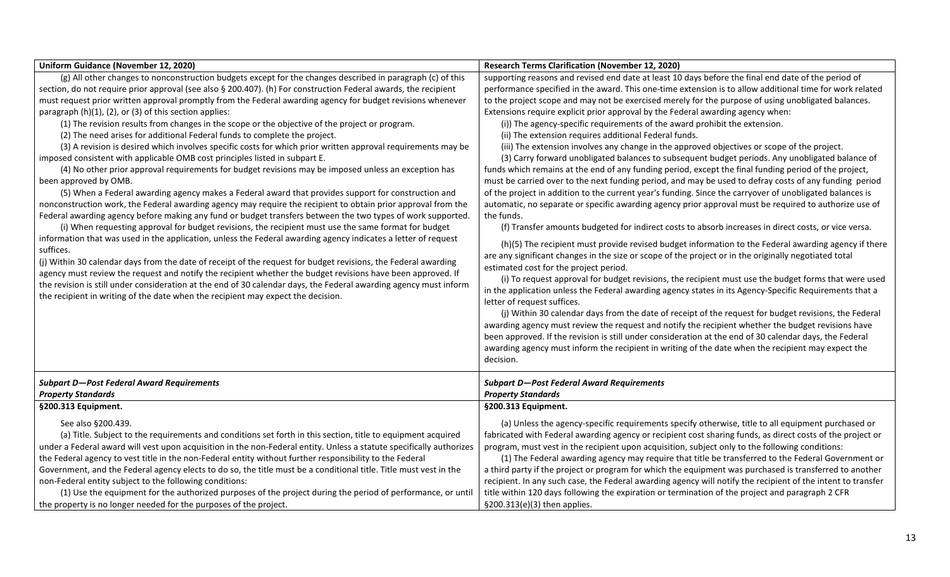| Uniform Guidance (November 12, 2020)                                                                                                                                                        | <b>Research Terms Clarification (November 12, 2020)</b>                                                                                                                                                       |
|---------------------------------------------------------------------------------------------------------------------------------------------------------------------------------------------|---------------------------------------------------------------------------------------------------------------------------------------------------------------------------------------------------------------|
| (g) All other changes to nonconstruction budgets except for the changes described in paragraph (c) of this                                                                                  | supporting reasons and revised end date at least 10 days before the final end date of the period of                                                                                                           |
| section, do not require prior approval (see also § 200.407). (h) For construction Federal awards, the recipient                                                                             | performance specified in the award. This one-time extension is to allow additional time for work related                                                                                                      |
| must request prior written approval promptly from the Federal awarding agency for budget revisions whenever                                                                                 | to the project scope and may not be exercised merely for the purpose of using unobligated balances.                                                                                                           |
| paragraph (h)(1), (2), or (3) of this section applies:<br>(1) The revision results from changes in the scope or the objective of the project or program.                                    | Extensions require explicit prior approval by the Federal awarding agency when:                                                                                                                               |
| (2) The need arises for additional Federal funds to complete the project.                                                                                                                   | (i)) The agency-specific requirements of the award prohibit the extension.<br>(ii) The extension requires additional Federal funds.                                                                           |
|                                                                                                                                                                                             |                                                                                                                                                                                                               |
| (3) A revision is desired which involves specific costs for which prior written approval requirements may be<br>imposed consistent with applicable OMB cost principles listed in subpart E. | (iii) The extension involves any change in the approved objectives or scope of the project.<br>(3) Carry forward unobligated balances to subsequent budget periods. Any unobligated balance of                |
| (4) No other prior approval requirements for budget revisions may be imposed unless an exception has                                                                                        | funds which remains at the end of any funding period, except the final funding period of the project,                                                                                                         |
| been approved by OMB.                                                                                                                                                                       | must be carried over to the next funding period, and may be used to defray costs of any funding period                                                                                                        |
| (5) When a Federal awarding agency makes a Federal award that provides support for construction and                                                                                         | of the project in addition to the current year's funding. Since the carryover of unobligated balances is                                                                                                      |
| nonconstruction work, the Federal awarding agency may require the recipient to obtain prior approval from the                                                                               | automatic, no separate or specific awarding agency prior approval must be required to authorize use of                                                                                                        |
| Federal awarding agency before making any fund or budget transfers between the two types of work supported.                                                                                 | the funds.                                                                                                                                                                                                    |
| (i) When requesting approval for budget revisions, the recipient must use the same format for budget                                                                                        | (f) Transfer amounts budgeted for indirect costs to absorb increases in direct costs, or vice versa.                                                                                                          |
| information that was used in the application, unless the Federal awarding agency indicates a letter of request                                                                              |                                                                                                                                                                                                               |
| suffices.                                                                                                                                                                                   | (h)(5) The recipient must provide revised budget information to the Federal awarding agency if there                                                                                                          |
| (j) Within 30 calendar days from the date of receipt of the request for budget revisions, the Federal awarding                                                                              | are any significant changes in the size or scope of the project or in the originally negotiated total                                                                                                         |
| agency must review the request and notify the recipient whether the budget revisions have been approved. If                                                                                 | estimated cost for the project period.                                                                                                                                                                        |
| the revision is still under consideration at the end of 30 calendar days, the Federal awarding agency must inform                                                                           | (i) To request approval for budget revisions, the recipient must use the budget forms that were used                                                                                                          |
| the recipient in writing of the date when the recipient may expect the decision.                                                                                                            | in the application unless the Federal awarding agency states in its Agency-Specific Requirements that a                                                                                                       |
|                                                                                                                                                                                             | letter of request suffices.                                                                                                                                                                                   |
|                                                                                                                                                                                             | (j) Within 30 calendar days from the date of receipt of the request for budget revisions, the Federal                                                                                                         |
|                                                                                                                                                                                             | awarding agency must review the request and notify the recipient whether the budget revisions have<br>been approved. If the revision is still under consideration at the end of 30 calendar days, the Federal |
|                                                                                                                                                                                             |                                                                                                                                                                                                               |
|                                                                                                                                                                                             | awarding agency must inform the recipient in writing of the date when the recipient may expect the<br>decision.                                                                                               |
|                                                                                                                                                                                             |                                                                                                                                                                                                               |
| <b>Subpart D-Post Federal Award Requirements</b>                                                                                                                                            | <b>Subpart D-Post Federal Award Requirements</b>                                                                                                                                                              |
| <b>Property Standards</b>                                                                                                                                                                   | <b>Property Standards</b>                                                                                                                                                                                     |
| §200.313 Equipment.                                                                                                                                                                         | §200.313 Equipment.                                                                                                                                                                                           |
| See also §200.439.                                                                                                                                                                          | (a) Unless the agency-specific requirements specify otherwise, title to all equipment purchased or                                                                                                            |
| (a) Title. Subject to the requirements and conditions set forth in this section, title to equipment acquired                                                                                | fabricated with Federal awarding agency or recipient cost sharing funds, as direct costs of the project or                                                                                                    |
| under a Federal award will vest upon acquisition in the non-Federal entity. Unless a statute specifically authorizes                                                                        | program, must vest in the recipient upon acquisition, subject only to the following conditions:                                                                                                               |
| the Federal agency to vest title in the non-Federal entity without further responsibility to the Federal                                                                                    | (1) The Federal awarding agency may require that title be transferred to the Federal Government or                                                                                                            |
| Government, and the Federal agency elects to do so, the title must be a conditional title. Title must vest in the                                                                           | a third party if the project or program for which the equipment was purchased is transferred to another                                                                                                       |
| non-Federal entity subject to the following conditions:                                                                                                                                     | recipient. In any such case, the Federal awarding agency will notify the recipient of the intent to transfer                                                                                                  |
| (1) Use the equipment for the authorized purposes of the project during the period of performance, or until                                                                                 | title within 120 days following the expiration or termination of the project and paragraph 2 CFR                                                                                                              |
| the property is no longer needed for the purposes of the project.                                                                                                                           | §200.313(e)(3) then applies.                                                                                                                                                                                  |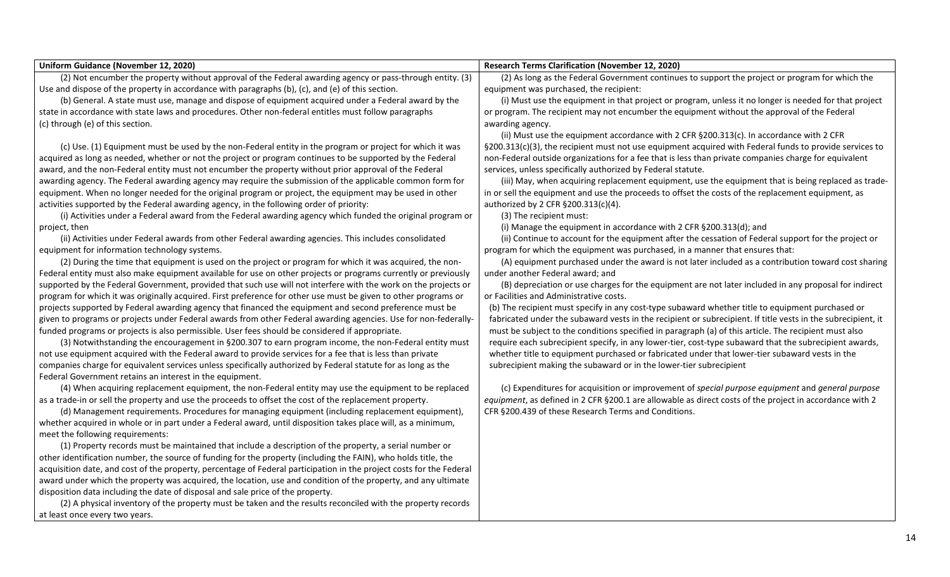| <b>Uniform Guidance (November 12, 2020)</b>                                                                                               | <b>Research Terms Clarification (November 12, 2020)</b>                                                      |
|-------------------------------------------------------------------------------------------------------------------------------------------|--------------------------------------------------------------------------------------------------------------|
| (2) Not encumber the property without approval of the Federal awarding agency or pass-through entity. (3)                                 | (2) As long as the Federal Government continues to support the project or program for which the              |
| Use and dispose of the property in accordance with paragraphs $(b)$ , $(c)$ , and $(e)$ of this section.                                  | equipment was purchased, the recipient:                                                                      |
| (b) General. A state must use, manage and dispose of equipment acquired under a Federal award by the                                      | (i) Must use the equipment in that project or program, unless it no longer is needed for that project        |
|                                                                                                                                           | or program. The recipient may not encumber the equipment without the approval of the Federal                 |
| state in accordance with state laws and procedures. Other non-federal entitles must follow paragraphs<br>(c) through (e) of this section. |                                                                                                              |
|                                                                                                                                           | awarding agency.                                                                                             |
|                                                                                                                                           | (ii) Must use the equipment accordance with 2 CFR §200.313(c). In accordance with 2 CFR                      |
| (c) Use. (1) Equipment must be used by the non-Federal entity in the program or project for which it was                                  | §200.313(c)(3), the recipient must not use equipment acquired with Federal funds to provide services to      |
| acquired as long as needed, whether or not the project or program continues to be supported by the Federal                                | non-Federal outside organizations for a fee that is less than private companies charge for equivalent        |
| award, and the non-Federal entity must not encumber the property without prior approval of the Federal                                    | services, unless specifically authorized by Federal statute.                                                 |
| awarding agency. The Federal awarding agency may require the submission of the applicable common form for                                 | (iii) May, when acquiring replacement equipment, use the equipment that is being replaced as trade-          |
| equipment. When no longer needed for the original program or project, the equipment may be used in other                                  | in or sell the equipment and use the proceeds to offset the costs of the replacement equipment, as           |
| activities supported by the Federal awarding agency, in the following order of priority:                                                  | authorized by 2 CFR §200.313(c)(4).                                                                          |
| (i) Activities under a Federal award from the Federal awarding agency which funded the original program or                                | (3) The recipient must:                                                                                      |
| project, then                                                                                                                             | (i) Manage the equipment in accordance with 2 CFR §200.313(d); and                                           |
| (ii) Activities under Federal awards from other Federal awarding agencies. This includes consolidated                                     | (ii) Continue to account for the equipment after the cessation of Federal support for the project or         |
| equipment for information technology systems.                                                                                             | program for which the equipment was purchased, in a manner that ensures that:                                |
| (2) During the time that equipment is used on the project or program for which it was acquired, the non-                                  | (A) equipment purchased under the award is not later included as a contribution toward cost sharing          |
| Federal entity must also make equipment available for use on other projects or programs currently or previously                           | under another Federal award; and                                                                             |
| supported by the Federal Government, provided that such use will not interfere with the work on the projects or                           | (B) depreciation or use charges for the equipment are not later included in any proposal for indirect        |
| program for which it was originally acquired. First preference for other use must be given to other programs or                           | or Facilities and Administrative costs.                                                                      |
| projects supported by Federal awarding agency that financed the equipment and second preference must be                                   | (b) The recipient must specify in any cost-type subaward whether title to equipment purchased or             |
| given to programs or projects under Federal awards from other Federal awarding agencies. Use for non-federally-                           | fabricated under the subaward vests in the recipient or subrecipient. If title vests in the subrecipient, it |
| funded programs or projects is also permissible. User fees should be considered if appropriate.                                           | must be subject to the conditions specified in paragraph (a) of this article. The recipient must also        |
| (3) Notwithstanding the encouragement in §200.307 to earn program income, the non-Federal entity must                                     | require each subrecipient specify, in any lower-tier, cost-type subaward that the subrecipient awards,       |
| not use equipment acquired with the Federal award to provide services for a fee that is less than private                                 | whether title to equipment purchased or fabricated under that lower-tier subaward vests in the               |
| companies charge for equivalent services unless specifically authorized by Federal statute for as long as the                             | subrecipient making the subaward or in the lower-tier subrecipient                                           |
| Federal Government retains an interest in the equipment.                                                                                  |                                                                                                              |
| (4) When acquiring replacement equipment, the non-Federal entity may use the equipment to be replaced                                     | (c) Expenditures for acquisition or improvement of special purpose equipment and general purpose             |
| as a trade-in or sell the property and use the proceeds to offset the cost of the replacement property.                                   | equipment, as defined in 2 CFR §200.1 are allowable as direct costs of the project in accordance with 2      |
| (d) Management requirements. Procedures for managing equipment (including replacement equipment),                                         | CFR §200.439 of these Research Terms and Conditions.                                                         |
| whether acquired in whole or in part under a Federal award, until disposition takes place will, as a minimum,                             |                                                                                                              |
| meet the following requirements:                                                                                                          |                                                                                                              |
| (1) Property records must be maintained that include a description of the property, a serial number or                                    |                                                                                                              |
| other identification number, the source of funding for the property (including the FAIN), who holds title, the                            |                                                                                                              |
| acquisition date, and cost of the property, percentage of Federal participation in the project costs for the Federal                      |                                                                                                              |
| award under which the property was acquired, the location, use and condition of the property, and any ultimate                            |                                                                                                              |
| disposition data including the date of disposal and sale price of the property.                                                           |                                                                                                              |
| (2) A physical inventory of the property must be taken and the results reconciled with the property records                               |                                                                                                              |
| at least once every two years.                                                                                                            |                                                                                                              |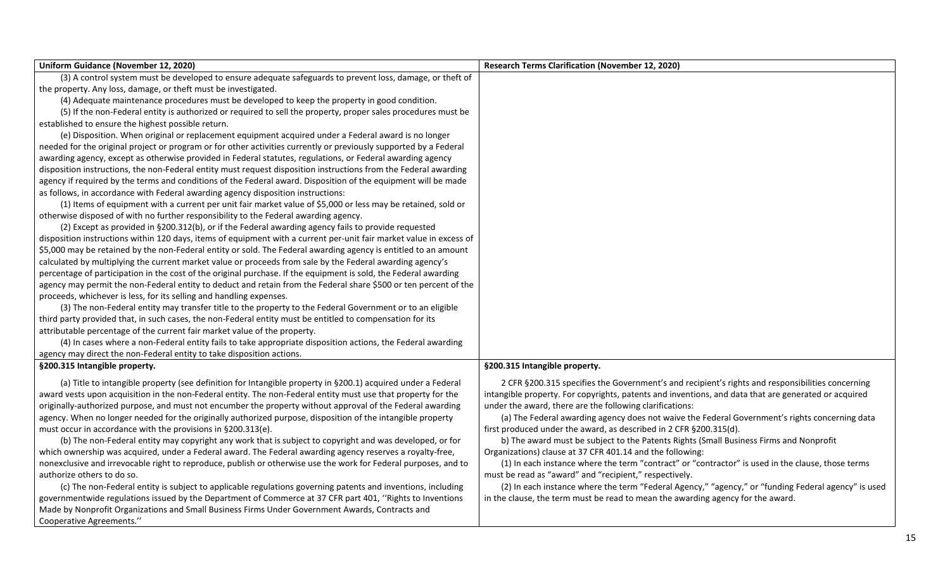| Uniform Guidance (November 12, 2020)                                                                                | <b>Research Terms Clarification (November 12, 2020)</b>                                              |
|---------------------------------------------------------------------------------------------------------------------|------------------------------------------------------------------------------------------------------|
| (3) A control system must be developed to ensure adequate safeguards to prevent loss, damage, or theft of           |                                                                                                      |
| the property. Any loss, damage, or theft must be investigated.                                                      |                                                                                                      |
| (4) Adequate maintenance procedures must be developed to keep the property in good condition.                       |                                                                                                      |
| (5) If the non-Federal entity is authorized or required to sell the property, proper sales procedures must be       |                                                                                                      |
| established to ensure the highest possible return.                                                                  |                                                                                                      |
| (e) Disposition. When original or replacement equipment acquired under a Federal award is no longer                 |                                                                                                      |
| needed for the original project or program or for other activities currently or previously supported by a Federal   |                                                                                                      |
| awarding agency, except as otherwise provided in Federal statutes, regulations, or Federal awarding agency          |                                                                                                      |
| disposition instructions, the non-Federal entity must request disposition instructions from the Federal awarding    |                                                                                                      |
| agency if required by the terms and conditions of the Federal award. Disposition of the equipment will be made      |                                                                                                      |
| as follows, in accordance with Federal awarding agency disposition instructions:                                    |                                                                                                      |
| (1) Items of equipment with a current per unit fair market value of \$5,000 or less may be retained, sold or        |                                                                                                      |
| otherwise disposed of with no further responsibility to the Federal awarding agency.                                |                                                                                                      |
| (2) Except as provided in §200.312(b), or if the Federal awarding agency fails to provide requested                 |                                                                                                      |
| disposition instructions within 120 days, items of equipment with a current per-unit fair market value in excess of |                                                                                                      |
| \$5,000 may be retained by the non-Federal entity or sold. The Federal awarding agency is entitled to an amount     |                                                                                                      |
| calculated by multiplying the current market value or proceeds from sale by the Federal awarding agency's           |                                                                                                      |
| percentage of participation in the cost of the original purchase. If the equipment is sold, the Federal awarding    |                                                                                                      |
| agency may permit the non-Federal entity to deduct and retain from the Federal share \$500 or ten percent of the    |                                                                                                      |
| proceeds, whichever is less, for its selling and handling expenses.                                                 |                                                                                                      |
| (3) The non-Federal entity may transfer title to the property to the Federal Government or to an eligible           |                                                                                                      |
| third party provided that, in such cases, the non-Federal entity must be entitled to compensation for its           |                                                                                                      |
| attributable percentage of the current fair market value of the property.                                           |                                                                                                      |
| (4) In cases where a non-Federal entity fails to take appropriate disposition actions, the Federal awarding         |                                                                                                      |
| agency may direct the non-Federal entity to take disposition actions.                                               |                                                                                                      |
| §200.315 Intangible property.                                                                                       | §200.315 Intangible property.                                                                        |
| (a) Title to intangible property (see definition for Intangible property in §200.1) acquired under a Federal        | 2 CFR §200.315 specifies the Government's and recipient's rights and responsibilities concerning     |
| award vests upon acquisition in the non-Federal entity. The non-Federal entity must use that property for the       | intangible property. For copyrights, patents and inventions, and data that are generated or acquired |
| originally-authorized purpose, and must not encumber the property without approval of the Federal awarding          | under the award, there are the following clarifications:                                             |
| agency. When no longer needed for the originally authorized purpose, disposition of the intangible property         | (a) The Federal awarding agency does not waive the Federal Government's rights concerning data       |
| must occur in accordance with the provisions in §200.313(e).                                                        | first produced under the award, as described in 2 CFR §200.315(d).                                   |
| (b) The non-Federal entity may copyright any work that is subject to copyright and was developed, or for            | b) The award must be subject to the Patents Rights (Small Business Firms and Nonprofit               |
| which ownership was acquired, under a Federal award. The Federal awarding agency reserves a royalty-free,           | Organizations) clause at 37 CFR 401.14 and the following:                                            |
| nonexclusive and irrevocable right to reproduce, publish or otherwise use the work for Federal purposes, and to     | (1) In each instance where the term "contract" or "contractor" is used in the clause, those terms    |
| authorize others to do so.                                                                                          | must be read as "award" and "recipient," respectively.                                               |
| (c) The non-Federal entity is subject to applicable regulations governing patents and inventions, including         | (2) In each instance where the term "Federal Agency," "agency," or "funding Federal agency" is used  |
| governmentwide regulations issued by the Department of Commerce at 37 CFR part 401, "Rights to Inventions           | in the clause, the term must be read to mean the awarding agency for the award.                      |
| Made by Nonprofit Organizations and Small Business Firms Under Government Awards, Contracts and                     |                                                                                                      |
| Cooperative Agreements."                                                                                            |                                                                                                      |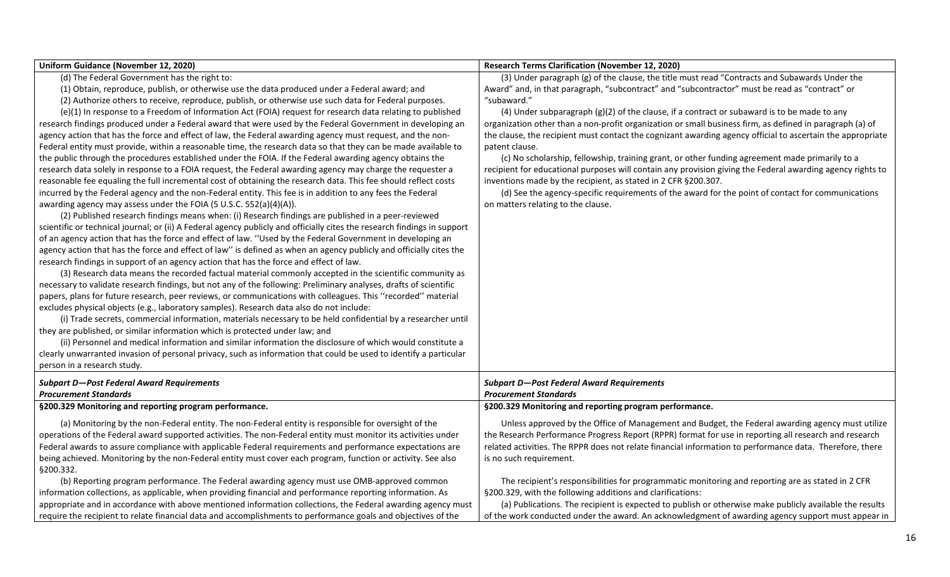| Uniform Guidance (November 12, 2020)                                                                                     | <b>Research Terms Clarification (November 12, 2020)</b>                                                    |
|--------------------------------------------------------------------------------------------------------------------------|------------------------------------------------------------------------------------------------------------|
| (d) The Federal Government has the right to:                                                                             | (3) Under paragraph (g) of the clause, the title must read "Contracts and Subawards Under the              |
| (1) Obtain, reproduce, publish, or otherwise use the data produced under a Federal award; and                            | Award" and, in that paragraph, "subcontract" and "subcontractor" must be read as "contract" or             |
| (2) Authorize others to receive, reproduce, publish, or otherwise use such data for Federal purposes.                    | "subaward."                                                                                                |
| (e)(1) In response to a Freedom of Information Act (FOIA) request for research data relating to published                | (4) Under subparagraph $(g)(2)$ of the clause, if a contract or subaward is to be made to any              |
| research findings produced under a Federal award that were used by the Federal Government in developing an               | organization other than a non-profit organization or small business firm, as defined in paragraph (a) of   |
| agency action that has the force and effect of law, the Federal awarding agency must request, and the non-               | the clause, the recipient must contact the cognizant awarding agency official to ascertain the appropriate |
| Federal entity must provide, within a reasonable time, the research data so that they can be made available to           | patent clause.                                                                                             |
| the public through the procedures established under the FOIA. If the Federal awarding agency obtains the                 | (c) No scholarship, fellowship, training grant, or other funding agreement made primarily to a             |
| research data solely in response to a FOIA request, the Federal awarding agency may charge the requester a               | recipient for educational purposes will contain any provision giving the Federal awarding agency rights to |
| reasonable fee equaling the full incremental cost of obtaining the research data. This fee should reflect costs          | inventions made by the recipient, as stated in 2 CFR §200.307.                                             |
| incurred by the Federal agency and the non-Federal entity. This fee is in addition to any fees the Federal               | (d) See the agency-specific requirements of the award for the point of contact for communications          |
| awarding agency may assess under the FOIA (5 U.S.C. 552(a)(4)(A)).                                                       | on matters relating to the clause.                                                                         |
| (2) Published research findings means when: (i) Research findings are published in a peer-reviewed                       |                                                                                                            |
| scientific or technical journal; or (ii) A Federal agency publicly and officially cites the research findings in support |                                                                                                            |
| of an agency action that has the force and effect of law. "Used by the Federal Government in developing an               |                                                                                                            |
| agency action that has the force and effect of law" is defined as when an agency publicly and officially cites the       |                                                                                                            |
| research findings in support of an agency action that has the force and effect of law.                                   |                                                                                                            |
| (3) Research data means the recorded factual material commonly accepted in the scientific community as                   |                                                                                                            |
| necessary to validate research findings, but not any of the following: Preliminary analyses, drafts of scientific        |                                                                                                            |
| papers, plans for future research, peer reviews, or communications with colleagues. This "recorded" material             |                                                                                                            |
| excludes physical objects (e.g., laboratory samples). Research data also do not include:                                 |                                                                                                            |
| (i) Trade secrets, commercial information, materials necessary to be held confidential by a researcher until             |                                                                                                            |
| they are published, or similar information which is protected under law; and                                             |                                                                                                            |
| (ii) Personnel and medical information and similar information the disclosure of which would constitute a                |                                                                                                            |
| clearly unwarranted invasion of personal privacy, such as information that could be used to identify a particular        |                                                                                                            |
| person in a research study.                                                                                              |                                                                                                            |
| <b>Subpart D-Post Federal Award Requirements</b>                                                                         | <b>Subpart D-Post Federal Award Requirements</b>                                                           |
| <b>Procurement Standards</b>                                                                                             | <b>Procurement Standards</b>                                                                               |
| §200.329 Monitoring and reporting program performance.                                                                   | §200.329 Monitoring and reporting program performance.                                                     |
| (a) Monitoring by the non-Federal entity. The non-Federal entity is responsible for oversight of the                     | Unless approved by the Office of Management and Budget, the Federal awarding agency must utilize           |
| operations of the Federal award supported activities. The non-Federal entity must monitor its activities under           | the Research Performance Progress Report (RPPR) format for use in reporting all research and research      |
| Federal awards to assure compliance with applicable Federal requirements and performance expectations are                | related activities. The RPPR does not relate financial information to performance data. Therefore, there   |
| being achieved. Monitoring by the non-Federal entity must cover each program, function or activity. See also             | is no such requirement.                                                                                    |
| §200.332.                                                                                                                |                                                                                                            |
| (b) Reporting program performance. The Federal awarding agency must use OMB-approved common                              | The recipient's responsibilities for programmatic monitoring and reporting are as stated in 2 CFR          |
| information collections, as applicable, when providing financial and performance reporting information. As               | §200.329, with the following additions and clarifications:                                                 |
| appropriate and in accordance with above mentioned information collections, the Federal awarding agency must             | (a) Publications. The recipient is expected to publish or otherwise make publicly available the results    |
| require the recipient to relate financial data and accomplishments to performance goals and objectives of the            | of the work conducted under the award. An acknowledgment of awarding agency support must appear in         |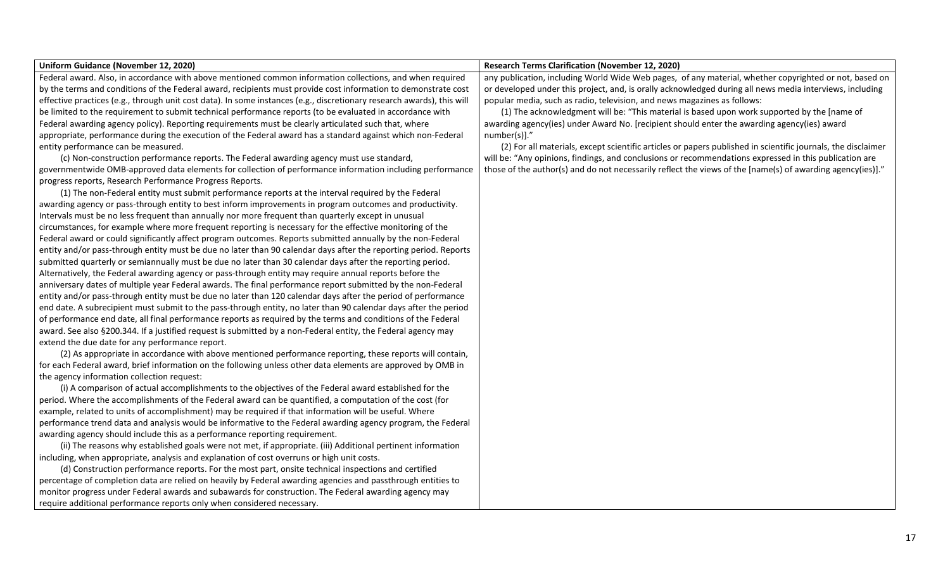| Uniform Guidance (November 12, 2020)                                                                                   | <b>Research Terms Clarification (November 12, 2020)</b>                                                      |
|------------------------------------------------------------------------------------------------------------------------|--------------------------------------------------------------------------------------------------------------|
| Federal award. Also, in accordance with above mentioned common information collections, and when required              | any publication, including World Wide Web pages, of any material, whether copyrighted or not, based on       |
| by the terms and conditions of the Federal award, recipients must provide cost information to demonstrate cost         | or developed under this project, and, is orally acknowledged during all news media interviews, including     |
| effective practices (e.g., through unit cost data). In some instances (e.g., discretionary research awards), this will | popular media, such as radio, television, and news magazines as follows:                                     |
| be limited to the requirement to submit technical performance reports (to be evaluated in accordance with              | (1) The acknowledgment will be: "This material is based upon work supported by the [name of                  |
| Federal awarding agency policy). Reporting requirements must be clearly articulated such that, where                   | awarding agency(ies) under Award No. [recipient should enter the awarding agency(ies) award                  |
| appropriate, performance during the execution of the Federal award has a standard against which non-Federal            | number(s)]."                                                                                                 |
| entity performance can be measured.                                                                                    | (2) For all materials, except scientific articles or papers published in scientific journals, the disclaimer |
| (c) Non-construction performance reports. The Federal awarding agency must use standard,                               | will be: "Any opinions, findings, and conclusions or recommendations expressed in this publication are       |
| governmentwide OMB-approved data elements for collection of performance information including performance              | those of the author(s) and do not necessarily reflect the views of the [name(s) of awarding agency(ies)]."   |
| progress reports, Research Performance Progress Reports.                                                               |                                                                                                              |
| (1) The non-Federal entity must submit performance reports at the interval required by the Federal                     |                                                                                                              |
| awarding agency or pass-through entity to best inform improvements in program outcomes and productivity.               |                                                                                                              |
| Intervals must be no less frequent than annually nor more frequent than quarterly except in unusual                    |                                                                                                              |
| circumstances, for example where more frequent reporting is necessary for the effective monitoring of the              |                                                                                                              |
| Federal award or could significantly affect program outcomes. Reports submitted annually by the non-Federal            |                                                                                                              |
| entity and/or pass-through entity must be due no later than 90 calendar days after the reporting period. Reports       |                                                                                                              |
| submitted quarterly or semiannually must be due no later than 30 calendar days after the reporting period.             |                                                                                                              |
| Alternatively, the Federal awarding agency or pass-through entity may require annual reports before the                |                                                                                                              |
| anniversary dates of multiple year Federal awards. The final performance report submitted by the non-Federal           |                                                                                                              |
| entity and/or pass-through entity must be due no later than 120 calendar days after the period of performance          |                                                                                                              |
| end date. A subrecipient must submit to the pass-through entity, no later than 90 calendar days after the period       |                                                                                                              |
| of performance end date, all final performance reports as required by the terms and conditions of the Federal          |                                                                                                              |
| award. See also §200.344. If a justified request is submitted by a non-Federal entity, the Federal agency may          |                                                                                                              |
| extend the due date for any performance report.                                                                        |                                                                                                              |
| (2) As appropriate in accordance with above mentioned performance reporting, these reports will contain,               |                                                                                                              |
| for each Federal award, brief information on the following unless other data elements are approved by OMB in           |                                                                                                              |
| the agency information collection request:                                                                             |                                                                                                              |
| (i) A comparison of actual accomplishments to the objectives of the Federal award established for the                  |                                                                                                              |
| period. Where the accomplishments of the Federal award can be quantified, a computation of the cost (for               |                                                                                                              |
| example, related to units of accomplishment) may be required if that information will be useful. Where                 |                                                                                                              |
| performance trend data and analysis would be informative to the Federal awarding agency program, the Federal           |                                                                                                              |
| awarding agency should include this as a performance reporting requirement.                                            |                                                                                                              |
| (ii) The reasons why established goals were not met, if appropriate. (iii) Additional pertinent information            |                                                                                                              |
| including, when appropriate, analysis and explanation of cost overruns or high unit costs.                             |                                                                                                              |
| (d) Construction performance reports. For the most part, onsite technical inspections and certified                    |                                                                                                              |
| percentage of completion data are relied on heavily by Federal awarding agencies and passthrough entities to           |                                                                                                              |
| monitor progress under Federal awards and subawards for construction. The Federal awarding agency may                  |                                                                                                              |
| require additional performance reports only when considered necessary.                                                 |                                                                                                              |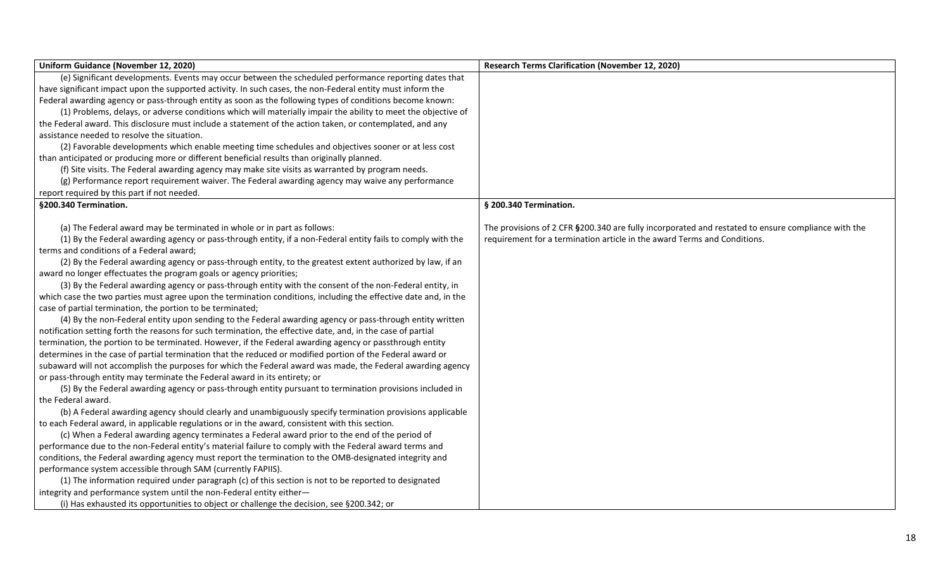| Uniform Guidance (November 12, 2020)                                                                            | <b>Research Terms Clarification (November 12, 2020)</b>                                            |
|-----------------------------------------------------------------------------------------------------------------|----------------------------------------------------------------------------------------------------|
| (e) Significant developments. Events may occur between the scheduled performance reporting dates that           |                                                                                                    |
| have significant impact upon the supported activity. In such cases, the non-Federal entity must inform the      |                                                                                                    |
| Federal awarding agency or pass-through entity as soon as the following types of conditions become known:       |                                                                                                    |
| (1) Problems, delays, or adverse conditions which will materially impair the ability to meet the objective of   |                                                                                                    |
| the Federal award. This disclosure must include a statement of the action taken, or contemplated, and any       |                                                                                                    |
| assistance needed to resolve the situation.                                                                     |                                                                                                    |
| (2) Favorable developments which enable meeting time schedules and objectives sooner or at less cost            |                                                                                                    |
| than anticipated or producing more or different beneficial results than originally planned.                     |                                                                                                    |
| (f) Site visits. The Federal awarding agency may make site visits as warranted by program needs.                |                                                                                                    |
| (g) Performance report requirement waiver. The Federal awarding agency may waive any performance                |                                                                                                    |
| report required by this part if not needed.                                                                     |                                                                                                    |
| §200.340 Termination.                                                                                           | § 200.340 Termination.                                                                             |
| (a) The Federal award may be terminated in whole or in part as follows:                                         | The provisions of 2 CFR §200.340 are fully incorporated and restated to ensure compliance with the |
| (1) By the Federal awarding agency or pass-through entity, if a non-Federal entity fails to comply with the     | requirement for a termination article in the award Terms and Conditions.                           |
| terms and conditions of a Federal award;                                                                        |                                                                                                    |
| (2) By the Federal awarding agency or pass-through entity, to the greatest extent authorized by law, if an      |                                                                                                    |
| award no longer effectuates the program goals or agency priorities;                                             |                                                                                                    |
| (3) By the Federal awarding agency or pass-through entity with the consent of the non-Federal entity, in        |                                                                                                    |
| which case the two parties must agree upon the termination conditions, including the effective date and, in the |                                                                                                    |
| case of partial termination, the portion to be terminated;                                                      |                                                                                                    |
| (4) By the non-Federal entity upon sending to the Federal awarding agency or pass-through entity written        |                                                                                                    |
| notification setting forth the reasons for such termination, the effective date, and, in the case of partial    |                                                                                                    |
| termination, the portion to be terminated. However, if the Federal awarding agency or passthrough entity        |                                                                                                    |
| determines in the case of partial termination that the reduced or modified portion of the Federal award or      |                                                                                                    |
| subaward will not accomplish the purposes for which the Federal award was made, the Federal awarding agency     |                                                                                                    |
| or pass-through entity may terminate the Federal award in its entirety; or                                      |                                                                                                    |
| (5) By the Federal awarding agency or pass-through entity pursuant to termination provisions included in        |                                                                                                    |
| the Federal award.                                                                                              |                                                                                                    |
| (b) A Federal awarding agency should clearly and unambiguously specify termination provisions applicable        |                                                                                                    |
| to each Federal award, in applicable regulations or in the award, consistent with this section.                 |                                                                                                    |
| (c) When a Federal awarding agency terminates a Federal award prior to the end of the period of                 |                                                                                                    |
| performance due to the non-Federal entity's material failure to comply with the Federal award terms and         |                                                                                                    |
| conditions, the Federal awarding agency must report the termination to the OMB-designated integrity and         |                                                                                                    |
| performance system accessible through SAM (currently FAPIIS).                                                   |                                                                                                    |
| (1) The information required under paragraph (c) of this section is not to be reported to designated            |                                                                                                    |
| integrity and performance system until the non-Federal entity either-                                           |                                                                                                    |
| (i) Has exhausted its opportunities to object or challenge the decision, see §200.342; or                       |                                                                                                    |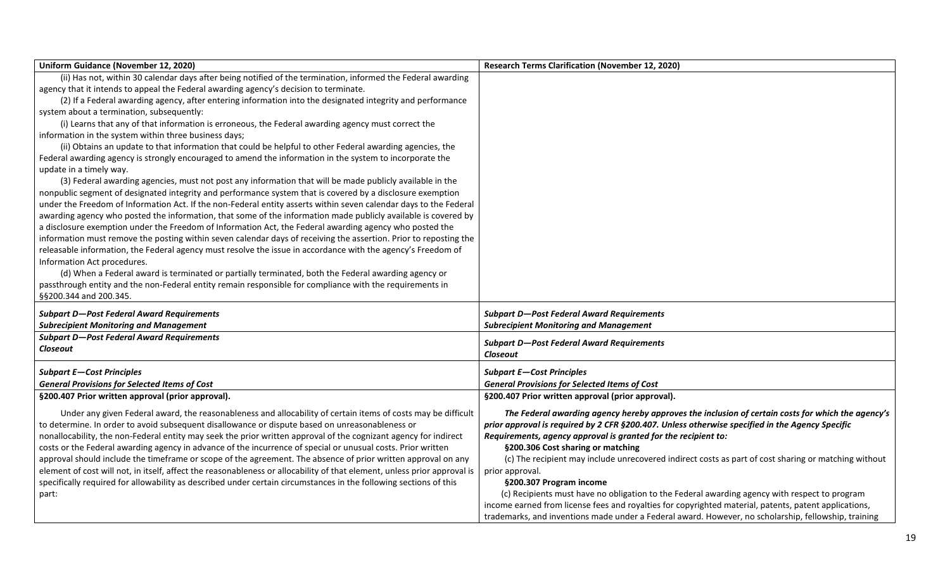| Uniform Guidance (November 12, 2020)                                                                                     | <b>Research Terms Clarification (November 12, 2020)</b>                                               |
|--------------------------------------------------------------------------------------------------------------------------|-------------------------------------------------------------------------------------------------------|
| (ii) Has not, within 30 calendar days after being notified of the termination, informed the Federal awarding             |                                                                                                       |
| agency that it intends to appeal the Federal awarding agency's decision to terminate.                                    |                                                                                                       |
| (2) If a Federal awarding agency, after entering information into the designated integrity and performance               |                                                                                                       |
| system about a termination, subsequently:                                                                                |                                                                                                       |
| (i) Learns that any of that information is erroneous, the Federal awarding agency must correct the                       |                                                                                                       |
| information in the system within three business days;                                                                    |                                                                                                       |
| (ii) Obtains an update to that information that could be helpful to other Federal awarding agencies, the                 |                                                                                                       |
| Federal awarding agency is strongly encouraged to amend the information in the system to incorporate the                 |                                                                                                       |
| update in a timely way.                                                                                                  |                                                                                                       |
| (3) Federal awarding agencies, must not post any information that will be made publicly available in the                 |                                                                                                       |
| nonpublic segment of designated integrity and performance system that is covered by a disclosure exemption               |                                                                                                       |
| under the Freedom of Information Act. If the non-Federal entity asserts within seven calendar days to the Federal        |                                                                                                       |
| awarding agency who posted the information, that some of the information made publicly available is covered by           |                                                                                                       |
| a disclosure exemption under the Freedom of Information Act, the Federal awarding agency who posted the                  |                                                                                                       |
| information must remove the posting within seven calendar days of receiving the assertion. Prior to reposting the        |                                                                                                       |
| releasable information, the Federal agency must resolve the issue in accordance with the agency's Freedom of             |                                                                                                       |
| Information Act procedures.                                                                                              |                                                                                                       |
| (d) When a Federal award is terminated or partially terminated, both the Federal awarding agency or                      |                                                                                                       |
| passthrough entity and the non-Federal entity remain responsible for compliance with the requirements in                 |                                                                                                       |
| §§200.344 and 200.345.                                                                                                   |                                                                                                       |
| <b>Subpart D-Post Federal Award Requirements</b>                                                                         | <b>Subpart D-Post Federal Award Requirements</b>                                                      |
| <b>Subrecipient Monitoring and Management</b>                                                                            | <b>Subrecipient Monitoring and Management</b>                                                         |
| <b>Subpart D-Post Federal Award Requirements</b>                                                                         |                                                                                                       |
| Closeout                                                                                                                 | <b>Subpart D-Post Federal Award Requirements</b><br>Closeout                                          |
|                                                                                                                          |                                                                                                       |
| <b>Subpart E-Cost Principles</b>                                                                                         | <b>Subpart E-Cost Principles</b>                                                                      |
| <b>General Provisions for Selected Items of Cost</b>                                                                     | <b>General Provisions for Selected Items of Cost</b>                                                  |
| §200.407 Prior written approval (prior approval).                                                                        | §200.407 Prior written approval (prior approval).                                                     |
| Under any given Federal award, the reasonableness and allocability of certain items of costs may be difficult            | The Federal awarding agency hereby approves the inclusion of certain costs for which the agency's     |
| to determine. In order to avoid subsequent disallowance or dispute based on unreasonableness or                          | prior approval is required by 2 CFR §200.407. Unless otherwise specified in the Agency Specific       |
| nonallocability, the non-Federal entity may seek the prior written approval of the cognizant agency for indirect         | Requirements, agency approval is granted for the recipient to:                                        |
| costs or the Federal awarding agency in advance of the incurrence of special or unusual costs. Prior written             | §200.306 Cost sharing or matching                                                                     |
| approval should include the timeframe or scope of the agreement. The absence of prior written approval on any            | (c) The recipient may include unrecovered indirect costs as part of cost sharing or matching without  |
| element of cost will not, in itself, affect the reasonableness or allocability of that element, unless prior approval is | prior approval.                                                                                       |
| specifically required for allowability as described under certain circumstances in the following sections of this        | §200.307 Program income                                                                               |
| part:                                                                                                                    | (c) Recipients must have no obligation to the Federal awarding agency with respect to program         |
|                                                                                                                          | income earned from license fees and royalties for copyrighted material, patents, patent applications, |
|                                                                                                                          | trademarks, and inventions made under a Federal award. However, no scholarship, fellowship, training  |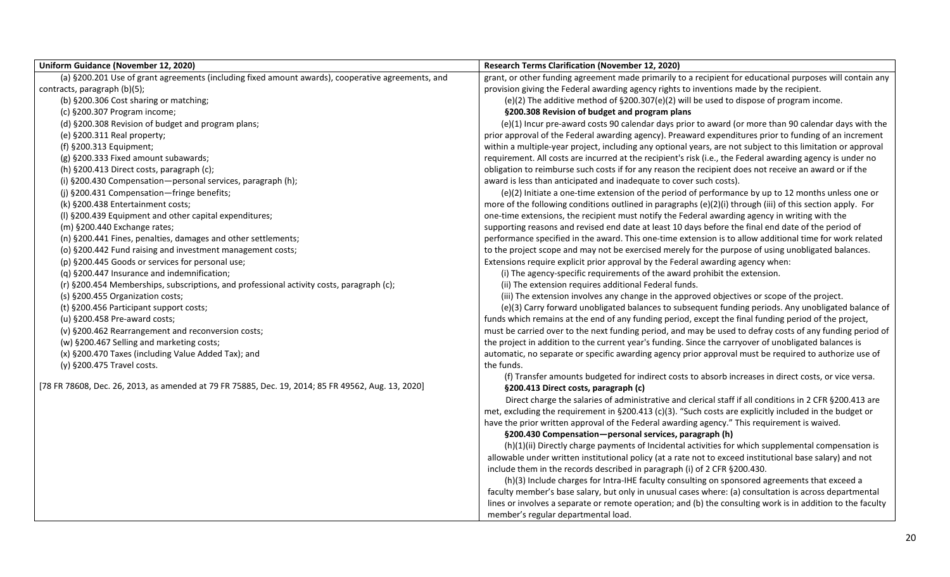| <b>Uniform Guidance (November 12, 2020)</b>                                                        | <b>Research Terms Clarification (November 12, 2020)</b>                                                      |
|----------------------------------------------------------------------------------------------------|--------------------------------------------------------------------------------------------------------------|
| (a) §200.201 Use of grant agreements (including fixed amount awards), cooperative agreements, and  | grant, or other funding agreement made primarily to a recipient for educational purposes will contain any    |
| contracts, paragraph (b)(5);                                                                       | provision giving the Federal awarding agency rights to inventions made by the recipient.                     |
| (b) §200.306 Cost sharing or matching;                                                             | (e)(2) The additive method of $\S200.307(e)(2)$ will be used to dispose of program income.                   |
| (c) §200.307 Program income;                                                                       | §200.308 Revision of budget and program plans                                                                |
| (d) §200.308 Revision of budget and program plans;                                                 | (e)(1) Incur pre-award costs 90 calendar days prior to award (or more than 90 calendar days with the         |
| (e) §200.311 Real property;                                                                        | prior approval of the Federal awarding agency). Preaward expenditures prior to funding of an increment       |
| (f) §200.313 Equipment;                                                                            | within a multiple-year project, including any optional years, are not subject to this limitation or approval |
| (g) §200.333 Fixed amount subawards;                                                               | requirement. All costs are incurred at the recipient's risk (i.e., the Federal awarding agency is under no   |
| (h) §200.413 Direct costs, paragraph (c);                                                          | obligation to reimburse such costs if for any reason the recipient does not receive an award or if the       |
| (i) §200.430 Compensation-personal services, paragraph (h);                                        | award is less than anticipated and inadequate to cover such costs).                                          |
| (j) §200.431 Compensation-fringe benefits;                                                         | (e)(2) Initiate a one-time extension of the period of performance by up to 12 months unless one or           |
| (k) §200.438 Entertainment costs;                                                                  | more of the following conditions outlined in paragraphs (e)(2)(i) through (iii) of this section apply. For   |
| (I) §200.439 Equipment and other capital expenditures;                                             | one-time extensions, the recipient must notify the Federal awarding agency in writing with the               |
| (m) §200.440 Exchange rates;                                                                       | supporting reasons and revised end date at least 10 days before the final end date of the period of          |
| (n) §200.441 Fines, penalties, damages and other settlements;                                      | performance specified in the award. This one-time extension is to allow additional time for work related     |
| (o) §200.442 Fund raising and investment management costs;                                         | to the project scope and may not be exercised merely for the purpose of using unobligated balances.          |
| (p) §200.445 Goods or services for personal use;                                                   | Extensions require explicit prior approval by the Federal awarding agency when:                              |
| (q) §200.447 Insurance and indemnification;                                                        | (i) The agency-specific requirements of the award prohibit the extension.                                    |
| (r) §200.454 Memberships, subscriptions, and professional activity costs, paragraph (c);           | (ii) The extension requires additional Federal funds.                                                        |
| (s) §200.455 Organization costs;                                                                   | (iii) The extension involves any change in the approved objectives or scope of the project.                  |
| (t) §200.456 Participant support costs;                                                            | (e)(3) Carry forward unobligated balances to subsequent funding periods. Any unobligated balance of          |
| (u) §200.458 Pre-award costs;                                                                      | funds which remains at the end of any funding period, except the final funding period of the project,        |
| (v) §200.462 Rearrangement and reconversion costs;                                                 | must be carried over to the next funding period, and may be used to defray costs of any funding period of    |
| (w) §200.467 Selling and marketing costs;                                                          | the project in addition to the current year's funding. Since the carryover of unobligated balances is        |
| (x) §200.470 Taxes (including Value Added Tax); and                                                | automatic, no separate or specific awarding agency prior approval must be required to authorize use of       |
| (y) §200.475 Travel costs.                                                                         | the funds.                                                                                                   |
|                                                                                                    | (f) Transfer amounts budgeted for indirect costs to absorb increases in direct costs, or vice versa.         |
| [78 FR 78608, Dec. 26, 2013, as amended at 79 FR 75885, Dec. 19, 2014; 85 FR 49562, Aug. 13, 2020] | §200.413 Direct costs, paragraph (c)                                                                         |
|                                                                                                    | Direct charge the salaries of administrative and clerical staff if all conditions in 2 CFR § 200.413 are     |
|                                                                                                    | met, excluding the requirement in §200.413 (c)(3). "Such costs are explicitly included in the budget or      |
|                                                                                                    | have the prior written approval of the Federal awarding agency." This requirement is waived.                 |
|                                                                                                    | §200.430 Compensation-personal services, paragraph (h)                                                       |
|                                                                                                    | (h)(1)(ii) Directly charge payments of Incidental activities for which supplemental compensation is          |
|                                                                                                    | allowable under written institutional policy (at a rate not to exceed institutional base salary) and not     |
|                                                                                                    | include them in the records described in paragraph (i) of 2 CFR §200.430.                                    |
|                                                                                                    | (h)(3) Include charges for Intra-IHE faculty consulting on sponsored agreements that exceed a                |
|                                                                                                    | faculty member's base salary, but only in unusual cases where: (a) consultation is across departmental       |
|                                                                                                    | lines or involves a separate or remote operation; and (b) the consulting work is in addition to the faculty  |
|                                                                                                    | member's regular departmental load.                                                                          |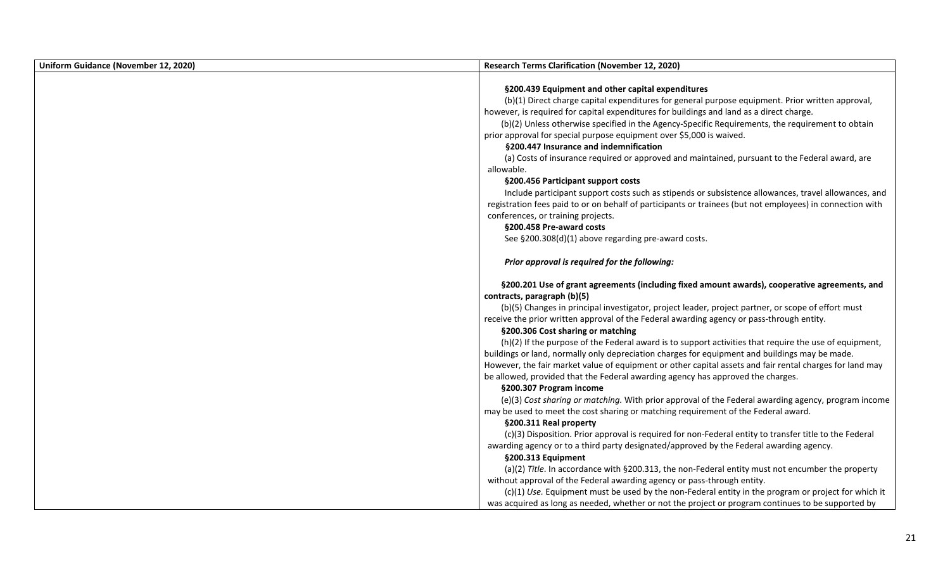| Uniform Guidance (November 12, 2020) | <b>Research Terms Clarification (November 12, 2020)</b>                                                   |
|--------------------------------------|-----------------------------------------------------------------------------------------------------------|
|                                      |                                                                                                           |
|                                      | §200.439 Equipment and other capital expenditures                                                         |
|                                      | (b)(1) Direct charge capital expenditures for general purpose equipment. Prior written approval,          |
|                                      | however, is required for capital expenditures for buildings and land as a direct charge.                  |
|                                      | (b)(2) Unless otherwise specified in the Agency-Specific Requirements, the requirement to obtain          |
|                                      | prior approval for special purpose equipment over \$5,000 is waived.                                      |
|                                      | §200.447 Insurance and indemnification                                                                    |
|                                      | (a) Costs of insurance required or approved and maintained, pursuant to the Federal award, are            |
|                                      | allowable.                                                                                                |
|                                      | §200.456 Participant support costs                                                                        |
|                                      | Include participant support costs such as stipends or subsistence allowances, travel allowances, and      |
|                                      | registration fees paid to or on behalf of participants or trainees (but not employees) in connection with |
|                                      | conferences, or training projects.                                                                        |
|                                      | §200.458 Pre-award costs                                                                                  |
|                                      | See §200.308(d)(1) above regarding pre-award costs.                                                       |
|                                      | Prior approval is required for the following:                                                             |
|                                      | §200.201 Use of grant agreements (including fixed amount awards), cooperative agreements, and             |
|                                      | contracts, paragraph (b)(5)                                                                               |
|                                      | (b)(5) Changes in principal investigator, project leader, project partner, or scope of effort must        |
|                                      | receive the prior written approval of the Federal awarding agency or pass-through entity.                 |
|                                      | §200.306 Cost sharing or matching                                                                         |
|                                      | (h)(2) If the purpose of the Federal award is to support activities that require the use of equipment,    |
|                                      | buildings or land, normally only depreciation charges for equipment and buildings may be made.            |
|                                      | However, the fair market value of equipment or other capital assets and fair rental charges for land may  |
|                                      | be allowed, provided that the Federal awarding agency has approved the charges.                           |
|                                      | §200.307 Program income                                                                                   |
|                                      | (e)(3) Cost sharing or matching. With prior approval of the Federal awarding agency, program income       |
|                                      | may be used to meet the cost sharing or matching requirement of the Federal award.                        |
|                                      | §200.311 Real property                                                                                    |
|                                      | (c)(3) Disposition. Prior approval is required for non-Federal entity to transfer title to the Federal    |
|                                      | awarding agency or to a third party designated/approved by the Federal awarding agency.                   |
|                                      | §200.313 Equipment                                                                                        |
|                                      | (a)(2) Title. In accordance with §200.313, the non-Federal entity must not encumber the property          |
|                                      | without approval of the Federal awarding agency or pass-through entity.                                   |
|                                      | (c)(1) Use. Equipment must be used by the non-Federal entity in the program or project for which it       |
|                                      | was acquired as long as needed, whether or not the project or program continues to be supported by        |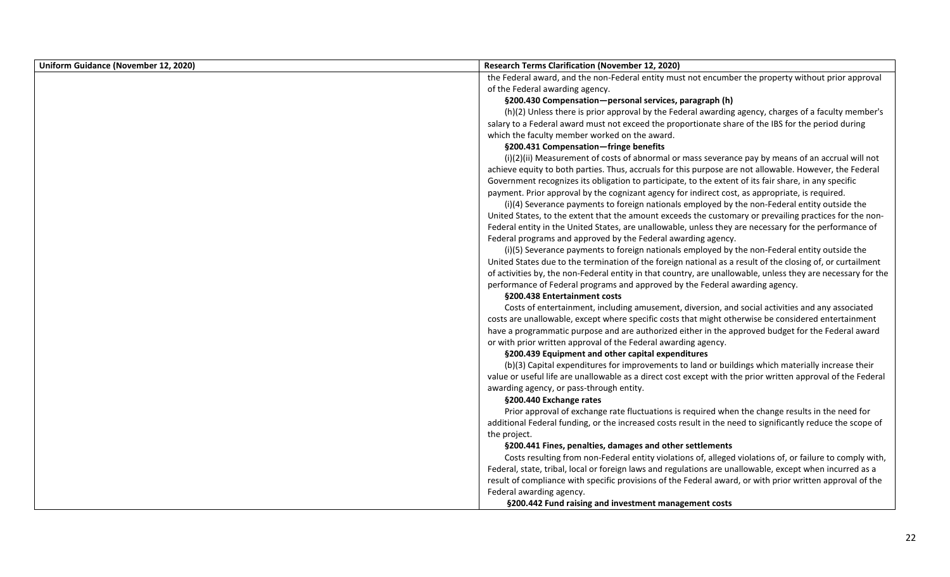| Uniform Guidance (November 12, 2020) | <b>Research Terms Clarification (November 12, 2020)</b>                                                      |
|--------------------------------------|--------------------------------------------------------------------------------------------------------------|
|                                      | the Federal award, and the non-Federal entity must not encumber the property without prior approval          |
|                                      | of the Federal awarding agency.                                                                              |
|                                      | §200.430 Compensation-personal services, paragraph (h)                                                       |
|                                      | (h)(2) Unless there is prior approval by the Federal awarding agency, charges of a faculty member's          |
|                                      | salary to a Federal award must not exceed the proportionate share of the IBS for the period during           |
|                                      | which the faculty member worked on the award.                                                                |
|                                      | §200.431 Compensation-fringe benefits                                                                        |
|                                      | (i)(2)(ii) Measurement of costs of abnormal or mass severance pay by means of an accrual will not            |
|                                      | achieve equity to both parties. Thus, accruals for this purpose are not allowable. However, the Federal      |
|                                      | Government recognizes its obligation to participate, to the extent of its fair share, in any specific        |
|                                      | payment. Prior approval by the cognizant agency for indirect cost, as appropriate, is required.              |
|                                      | (i)(4) Severance payments to foreign nationals employed by the non-Federal entity outside the                |
|                                      | United States, to the extent that the amount exceeds the customary or prevailing practices for the non-      |
|                                      | Federal entity in the United States, are unallowable, unless they are necessary for the performance of       |
|                                      | Federal programs and approved by the Federal awarding agency.                                                |
|                                      | (i)(5) Severance payments to foreign nationals employed by the non-Federal entity outside the                |
|                                      | United States due to the termination of the foreign national as a result of the closing of, or curtailment   |
|                                      | of activities by, the non-Federal entity in that country, are unallowable, unless they are necessary for the |
|                                      | performance of Federal programs and approved by the Federal awarding agency.                                 |
|                                      | §200.438 Entertainment costs                                                                                 |
|                                      | Costs of entertainment, including amusement, diversion, and social activities and any associated             |
|                                      | costs are unallowable, except where specific costs that might otherwise be considered entertainment          |
|                                      | have a programmatic purpose and are authorized either in the approved budget for the Federal award           |
|                                      | or with prior written approval of the Federal awarding agency.                                               |
|                                      | §200.439 Equipment and other capital expenditures                                                            |
|                                      | (b)(3) Capital expenditures for improvements to land or buildings which materially increase their            |
|                                      | value or useful life are unallowable as a direct cost except with the prior written approval of the Federal  |
|                                      | awarding agency, or pass-through entity.                                                                     |
|                                      | §200.440 Exchange rates                                                                                      |
|                                      | Prior approval of exchange rate fluctuations is required when the change results in the need for             |
|                                      | additional Federal funding, or the increased costs result in the need to significantly reduce the scope of   |
|                                      | the project.                                                                                                 |
|                                      | §200.441 Fines, penalties, damages and other settlements                                                     |
|                                      | Costs resulting from non-Federal entity violations of, alleged violations of, or failure to comply with,     |
|                                      | Federal, state, tribal, local or foreign laws and regulations are unallowable, except when incurred as a     |
|                                      | result of compliance with specific provisions of the Federal award, or with prior written approval of the    |
|                                      | Federal awarding agency.                                                                                     |
|                                      | §200.442 Fund raising and investment management costs                                                        |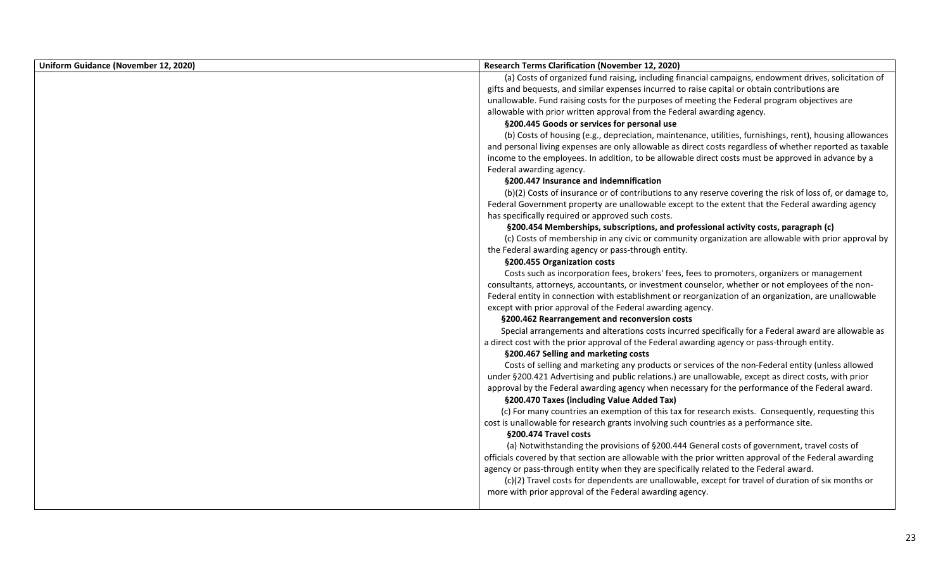| Uniform Guidance (November 12, 2020) | <b>Research Terms Clarification (November 12, 2020)</b>                                                   |
|--------------------------------------|-----------------------------------------------------------------------------------------------------------|
|                                      | (a) Costs of organized fund raising, including financial campaigns, endowment drives, solicitation of     |
|                                      | gifts and bequests, and similar expenses incurred to raise capital or obtain contributions are            |
|                                      | unallowable. Fund raising costs for the purposes of meeting the Federal program objectives are            |
|                                      | allowable with prior written approval from the Federal awarding agency.                                   |
|                                      | §200.445 Goods or services for personal use                                                               |
|                                      | (b) Costs of housing (e.g., depreciation, maintenance, utilities, furnishings, rent), housing allowances  |
|                                      | and personal living expenses are only allowable as direct costs regardless of whether reported as taxable |
|                                      | income to the employees. In addition, to be allowable direct costs must be approved in advance by a       |
|                                      | Federal awarding agency.                                                                                  |
|                                      | §200.447 Insurance and indemnification                                                                    |
|                                      | (b)(2) Costs of insurance or of contributions to any reserve covering the risk of loss of, or damage to,  |
|                                      | Federal Government property are unallowable except to the extent that the Federal awarding agency         |
|                                      | has specifically required or approved such costs.                                                         |
|                                      | §200.454 Memberships, subscriptions, and professional activity costs, paragraph (c)                       |
|                                      | (c) Costs of membership in any civic or community organization are allowable with prior approval by       |
|                                      | the Federal awarding agency or pass-through entity.                                                       |
|                                      | §200.455 Organization costs                                                                               |
|                                      | Costs such as incorporation fees, brokers' fees, fees to promoters, organizers or management              |
|                                      | consultants, attorneys, accountants, or investment counselor, whether or not employees of the non-        |
|                                      | Federal entity in connection with establishment or reorganization of an organization, are unallowable     |
|                                      | except with prior approval of the Federal awarding agency.                                                |
|                                      | §200.462 Rearrangement and reconversion costs                                                             |
|                                      | Special arrangements and alterations costs incurred specifically for a Federal award are allowable as     |
|                                      | a direct cost with the prior approval of the Federal awarding agency or pass-through entity.              |
|                                      | §200.467 Selling and marketing costs                                                                      |
|                                      | Costs of selling and marketing any products or services of the non-Federal entity (unless allowed         |
|                                      | under §200.421 Advertising and public relations.) are unallowable, except as direct costs, with prior     |
|                                      | approval by the Federal awarding agency when necessary for the performance of the Federal award.          |
|                                      | §200.470 Taxes (including Value Added Tax)                                                                |
|                                      | (c) For many countries an exemption of this tax for research exists. Consequently, requesting this        |
|                                      | cost is unallowable for research grants involving such countries as a performance site.                   |
|                                      | §200.474 Travel costs                                                                                     |
|                                      | (a) Notwithstanding the provisions of §200.444 General costs of government, travel costs of               |
|                                      | officials covered by that section are allowable with the prior written approval of the Federal awarding   |
|                                      | agency or pass-through entity when they are specifically related to the Federal award.                    |
|                                      | (c)(2) Travel costs for dependents are unallowable, except for travel of duration of six months or        |
|                                      | more with prior approval of the Federal awarding agency.                                                  |
|                                      |                                                                                                           |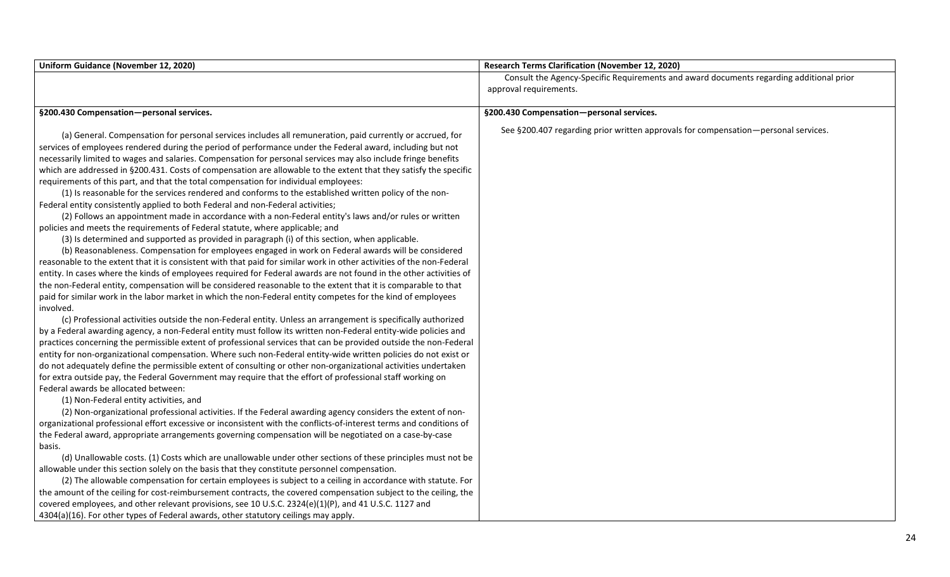| Uniform Guidance (November 12, 2020)                                                                                  | <b>Research Terms Clarification (November 12, 2020)</b>                                 |
|-----------------------------------------------------------------------------------------------------------------------|-----------------------------------------------------------------------------------------|
|                                                                                                                       | Consult the Agency-Specific Requirements and award documents regarding additional prior |
|                                                                                                                       | approval requirements.                                                                  |
| §200.430 Compensation-personal services.                                                                              | §200.430 Compensation-personal services.                                                |
|                                                                                                                       |                                                                                         |
| (a) General. Compensation for personal services includes all remuneration, paid currently or accrued, for             | See §200.407 regarding prior written approvals for compensation—personal services.      |
| services of employees rendered during the period of performance under the Federal award, including but not            |                                                                                         |
| necessarily limited to wages and salaries. Compensation for personal services may also include fringe benefits        |                                                                                         |
| which are addressed in §200.431. Costs of compensation are allowable to the extent that they satisfy the specific     |                                                                                         |
| requirements of this part, and that the total compensation for individual employees:                                  |                                                                                         |
| (1) Is reasonable for the services rendered and conforms to the established written policy of the non-                |                                                                                         |
| Federal entity consistently applied to both Federal and non-Federal activities;                                       |                                                                                         |
| (2) Follows an appointment made in accordance with a non-Federal entity's laws and/or rules or written                |                                                                                         |
| policies and meets the requirements of Federal statute, where applicable; and                                         |                                                                                         |
| (3) Is determined and supported as provided in paragraph (i) of this section, when applicable.                        |                                                                                         |
| (b) Reasonableness. Compensation for employees engaged in work on Federal awards will be considered                   |                                                                                         |
| reasonable to the extent that it is consistent with that paid for similar work in other activities of the non-Federal |                                                                                         |
| entity. In cases where the kinds of employees required for Federal awards are not found in the other activities of    |                                                                                         |
| the non-Federal entity, compensation will be considered reasonable to the extent that it is comparable to that        |                                                                                         |
| paid for similar work in the labor market in which the non-Federal entity competes for the kind of employees          |                                                                                         |
| involved.                                                                                                             |                                                                                         |
| (c) Professional activities outside the non-Federal entity. Unless an arrangement is specifically authorized          |                                                                                         |
| by a Federal awarding agency, a non-Federal entity must follow its written non-Federal entity-wide policies and       |                                                                                         |
| practices concerning the permissible extent of professional services that can be provided outside the non-Federal     |                                                                                         |
| entity for non-organizational compensation. Where such non-Federal entity-wide written policies do not exist or       |                                                                                         |
| do not adequately define the permissible extent of consulting or other non-organizational activities undertaken       |                                                                                         |
| for extra outside pay, the Federal Government may require that the effort of professional staff working on            |                                                                                         |
| Federal awards be allocated between:                                                                                  |                                                                                         |
| (1) Non-Federal entity activities, and                                                                                |                                                                                         |
| (2) Non-organizational professional activities. If the Federal awarding agency considers the extent of non-           |                                                                                         |
| organizational professional effort excessive or inconsistent with the conflicts-of-interest terms and conditions of   |                                                                                         |
| the Federal award, appropriate arrangements governing compensation will be negotiated on a case-by-case               |                                                                                         |
| basis.                                                                                                                |                                                                                         |
| (d) Unallowable costs. (1) Costs which are unallowable under other sections of these principles must not be           |                                                                                         |
| allowable under this section solely on the basis that they constitute personnel compensation.                         |                                                                                         |
| (2) The allowable compensation for certain employees is subject to a ceiling in accordance with statute. For          |                                                                                         |
| the amount of the ceiling for cost-reimbursement contracts, the covered compensation subject to the ceiling, the      |                                                                                         |
| covered employees, and other relevant provisions, see 10 U.S.C. 2324(e)(1)(P), and 41 U.S.C. 1127 and                 |                                                                                         |
| 4304(a)(16). For other types of Federal awards, other statutory ceilings may apply.                                   |                                                                                         |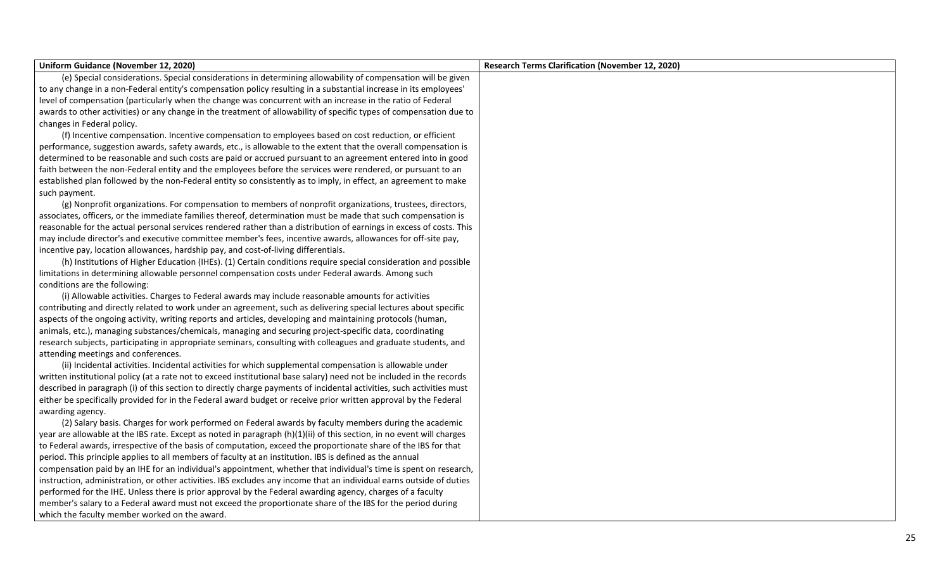| Uniform Guidance (November 12, 2020)                                                                                  | Research Terms Clarification (November 12, 2020) |
|-----------------------------------------------------------------------------------------------------------------------|--------------------------------------------------|
| (e) Special considerations. Special considerations in determining allowability of compensation will be given          |                                                  |
| to any change in a non-Federal entity's compensation policy resulting in a substantial increase in its employees'     |                                                  |
| level of compensation (particularly when the change was concurrent with an increase in the ratio of Federal           |                                                  |
| awards to other activities) or any change in the treatment of allowability of specific types of compensation due to   |                                                  |
| changes in Federal policy.                                                                                            |                                                  |
| (f) Incentive compensation. Incentive compensation to employees based on cost reduction, or efficient                 |                                                  |
| performance, suggestion awards, safety awards, etc., is allowable to the extent that the overall compensation is      |                                                  |
| determined to be reasonable and such costs are paid or accrued pursuant to an agreement entered into in good          |                                                  |
| faith between the non-Federal entity and the employees before the services were rendered, or pursuant to an           |                                                  |
| established plan followed by the non-Federal entity so consistently as to imply, in effect, an agreement to make      |                                                  |
| such payment.                                                                                                         |                                                  |
| (g) Nonprofit organizations. For compensation to members of nonprofit organizations, trustees, directors,             |                                                  |
| associates, officers, or the immediate families thereof, determination must be made that such compensation is         |                                                  |
| reasonable for the actual personal services rendered rather than a distribution of earnings in excess of costs. This  |                                                  |
| may include director's and executive committee member's fees, incentive awards, allowances for off-site pay,          |                                                  |
| incentive pay, location allowances, hardship pay, and cost-of-living differentials.                                   |                                                  |
| (h) Institutions of Higher Education (IHEs). (1) Certain conditions require special consideration and possible        |                                                  |
| limitations in determining allowable personnel compensation costs under Federal awards. Among such                    |                                                  |
| conditions are the following:                                                                                         |                                                  |
| (i) Allowable activities. Charges to Federal awards may include reasonable amounts for activities                     |                                                  |
| contributing and directly related to work under an agreement, such as delivering special lectures about specific      |                                                  |
| aspects of the ongoing activity, writing reports and articles, developing and maintaining protocols (human,           |                                                  |
| animals, etc.), managing substances/chemicals, managing and securing project-specific data, coordinating              |                                                  |
| research subjects, participating in appropriate seminars, consulting with colleagues and graduate students, and       |                                                  |
| attending meetings and conferences.                                                                                   |                                                  |
| (ii) Incidental activities. Incidental activities for which supplemental compensation is allowable under              |                                                  |
| written institutional policy (at a rate not to exceed institutional base salary) need not be included in the records  |                                                  |
| described in paragraph (i) of this section to directly charge payments of incidental activities, such activities must |                                                  |
| either be specifically provided for in the Federal award budget or receive prior written approval by the Federal      |                                                  |
| awarding agency.                                                                                                      |                                                  |
| (2) Salary basis. Charges for work performed on Federal awards by faculty members during the academic                 |                                                  |
| year are allowable at the IBS rate. Except as noted in paragraph (h)(1)(ii) of this section, in no event will charges |                                                  |
| to Federal awards, irrespective of the basis of computation, exceed the proportionate share of the IBS for that       |                                                  |
| period. This principle applies to all members of faculty at an institution. IBS is defined as the annual              |                                                  |
| compensation paid by an IHE for an individual's appointment, whether that individual's time is spent on research,     |                                                  |
| instruction, administration, or other activities. IBS excludes any income that an individual earns outside of duties  |                                                  |
| performed for the IHE. Unless there is prior approval by the Federal awarding agency, charges of a faculty            |                                                  |
| member's salary to a Federal award must not exceed the proportionate share of the IBS for the period during           |                                                  |
| which the faculty member worked on the award.                                                                         |                                                  |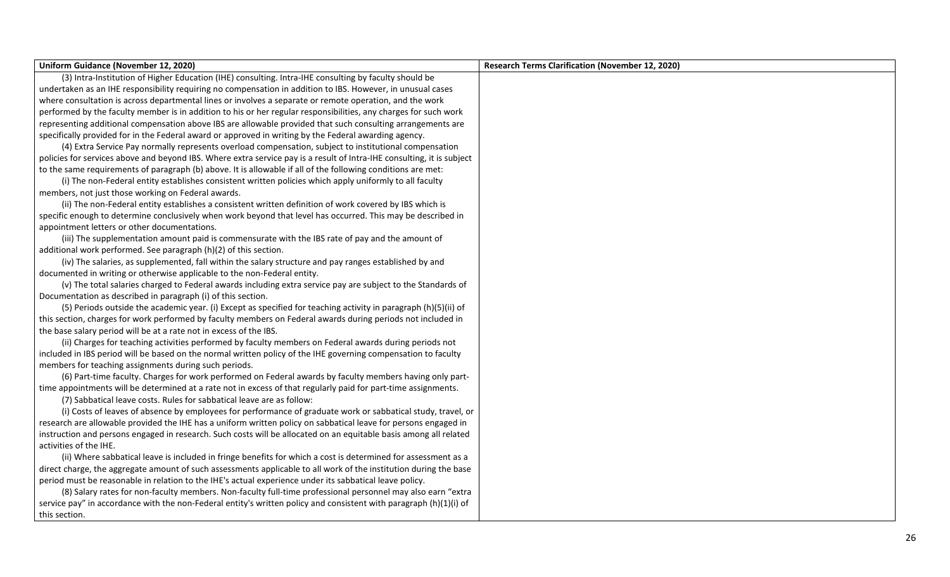| Uniform Guidance (November 12, 2020)                                                                                   | <b>Research Terms Clarification (November 12, 2020)</b> |
|------------------------------------------------------------------------------------------------------------------------|---------------------------------------------------------|
| (3) Intra-Institution of Higher Education (IHE) consulting. Intra-IHE consulting by faculty should be                  |                                                         |
| undertaken as an IHE responsibility requiring no compensation in addition to IBS. However, in unusual cases            |                                                         |
| where consultation is across departmental lines or involves a separate or remote operation, and the work               |                                                         |
| performed by the faculty member is in addition to his or her regular responsibilities, any charges for such work       |                                                         |
| representing additional compensation above IBS are allowable provided that such consulting arrangements are            |                                                         |
| specifically provided for in the Federal award or approved in writing by the Federal awarding agency.                  |                                                         |
| (4) Extra Service Pay normally represents overload compensation, subject to institutional compensation                 |                                                         |
| policies for services above and beyond IBS. Where extra service pay is a result of Intra-IHE consulting, it is subject |                                                         |
| to the same requirements of paragraph (b) above. It is allowable if all of the following conditions are met:           |                                                         |
| (i) The non-Federal entity establishes consistent written policies which apply uniformly to all faculty                |                                                         |
| members, not just those working on Federal awards.                                                                     |                                                         |
| (ii) The non-Federal entity establishes a consistent written definition of work covered by IBS which is                |                                                         |
| specific enough to determine conclusively when work beyond that level has occurred. This may be described in           |                                                         |
| appointment letters or other documentations.                                                                           |                                                         |
| (iii) The supplementation amount paid is commensurate with the IBS rate of pay and the amount of                       |                                                         |
| additional work performed. See paragraph (h)(2) of this section.                                                       |                                                         |
| (iv) The salaries, as supplemented, fall within the salary structure and pay ranges established by and                 |                                                         |
| documented in writing or otherwise applicable to the non-Federal entity.                                               |                                                         |
| (v) The total salaries charged to Federal awards including extra service pay are subject to the Standards of           |                                                         |
| Documentation as described in paragraph (i) of this section.                                                           |                                                         |
| (5) Periods outside the academic year. (i) Except as specified for teaching activity in paragraph (h)(5)(ii) of        |                                                         |
| this section, charges for work performed by faculty members on Federal awards during periods not included in           |                                                         |
| the base salary period will be at a rate not in excess of the IBS.                                                     |                                                         |
| (ii) Charges for teaching activities performed by faculty members on Federal awards during periods not                 |                                                         |
| included in IBS period will be based on the normal written policy of the IHE governing compensation to faculty         |                                                         |
| members for teaching assignments during such periods.                                                                  |                                                         |
| (6) Part-time faculty. Charges for work performed on Federal awards by faculty members having only part-               |                                                         |
| time appointments will be determined at a rate not in excess of that regularly paid for part-time assignments.         |                                                         |
| (7) Sabbatical leave costs. Rules for sabbatical leave are as follow:                                                  |                                                         |
| (i) Costs of leaves of absence by employees for performance of graduate work or sabbatical study, travel, or           |                                                         |
| research are allowable provided the IHE has a uniform written policy on sabbatical leave for persons engaged in        |                                                         |
| instruction and persons engaged in research. Such costs will be allocated on an equitable basis among all related      |                                                         |
| activities of the IHE.                                                                                                 |                                                         |
| (ii) Where sabbatical leave is included in fringe benefits for which a cost is determined for assessment as a          |                                                         |
| direct charge, the aggregate amount of such assessments applicable to all work of the institution during the base      |                                                         |
| period must be reasonable in relation to the IHE's actual experience under its sabbatical leave policy.                |                                                         |
| (8) Salary rates for non-faculty members. Non-faculty full-time professional personnel may also earn "extra            |                                                         |
| service pay" in accordance with the non-Federal entity's written policy and consistent with paragraph (h)(1)(i) of     |                                                         |
| this section.                                                                                                          |                                                         |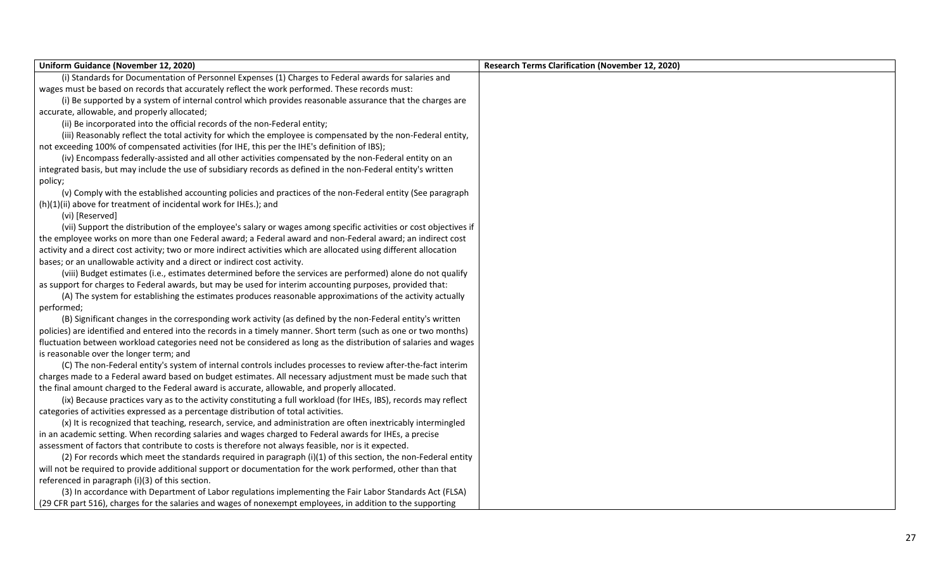| Uniform Guidance (November 12, 2020)                                                                                | <b>Research Terms Clarification (November 12, 2020)</b> |
|---------------------------------------------------------------------------------------------------------------------|---------------------------------------------------------|
| (i) Standards for Documentation of Personnel Expenses (1) Charges to Federal awards for salaries and                |                                                         |
| wages must be based on records that accurately reflect the work performed. These records must:                      |                                                         |
| (i) Be supported by a system of internal control which provides reasonable assurance that the charges are           |                                                         |
| accurate, allowable, and properly allocated;                                                                        |                                                         |
| (ii) Be incorporated into the official records of the non-Federal entity;                                           |                                                         |
| (iii) Reasonably reflect the total activity for which the employee is compensated by the non-Federal entity,        |                                                         |
| not exceeding 100% of compensated activities (for IHE, this per the IHE's definition of IBS);                       |                                                         |
| (iv) Encompass federally-assisted and all other activities compensated by the non-Federal entity on an              |                                                         |
| integrated basis, but may include the use of subsidiary records as defined in the non-Federal entity's written      |                                                         |
| policy;                                                                                                             |                                                         |
| (v) Comply with the established accounting policies and practices of the non-Federal entity (See paragraph          |                                                         |
| (h)(1)(ii) above for treatment of incidental work for IHEs.); and                                                   |                                                         |
| (vi) [Reserved]                                                                                                     |                                                         |
| (vii) Support the distribution of the employee's salary or wages among specific activities or cost objectives if    |                                                         |
| the employee works on more than one Federal award; a Federal award and non-Federal award; an indirect cost          |                                                         |
| activity and a direct cost activity; two or more indirect activities which are allocated using different allocation |                                                         |
| bases; or an unallowable activity and a direct or indirect cost activity.                                           |                                                         |
| (viii) Budget estimates (i.e., estimates determined before the services are performed) alone do not qualify         |                                                         |
| as support for charges to Federal awards, but may be used for interim accounting purposes, provided that:           |                                                         |
| (A) The system for establishing the estimates produces reasonable approximations of the activity actually           |                                                         |
| performed;                                                                                                          |                                                         |
| (B) Significant changes in the corresponding work activity (as defined by the non-Federal entity's written          |                                                         |
| policies) are identified and entered into the records in a timely manner. Short term (such as one or two months)    |                                                         |
| fluctuation between workload categories need not be considered as long as the distribution of salaries and wages    |                                                         |
| is reasonable over the longer term; and                                                                             |                                                         |
| (C) The non-Federal entity's system of internal controls includes processes to review after-the-fact interim        |                                                         |
| charges made to a Federal award based on budget estimates. All necessary adjustment must be made such that          |                                                         |
| the final amount charged to the Federal award is accurate, allowable, and properly allocated.                       |                                                         |
| (ix) Because practices vary as to the activity constituting a full workload (for IHEs, IBS), records may reflect    |                                                         |
| categories of activities expressed as a percentage distribution of total activities.                                |                                                         |
| (x) It is recognized that teaching, research, service, and administration are often inextricably intermingled       |                                                         |
| in an academic setting. When recording salaries and wages charged to Federal awards for IHEs, a precise             |                                                         |
| assessment of factors that contribute to costs is therefore not always feasible, nor is it expected.                |                                                         |
| (2) For records which meet the standards required in paragraph (i)(1) of this section, the non-Federal entity       |                                                         |
| will not be required to provide additional support or documentation for the work performed, other than that         |                                                         |
| referenced in paragraph (i)(3) of this section.                                                                     |                                                         |
| (3) In accordance with Department of Labor regulations implementing the Fair Labor Standards Act (FLSA)             |                                                         |
| (29 CFR part 516), charges for the salaries and wages of nonexempt employees, in addition to the supporting         |                                                         |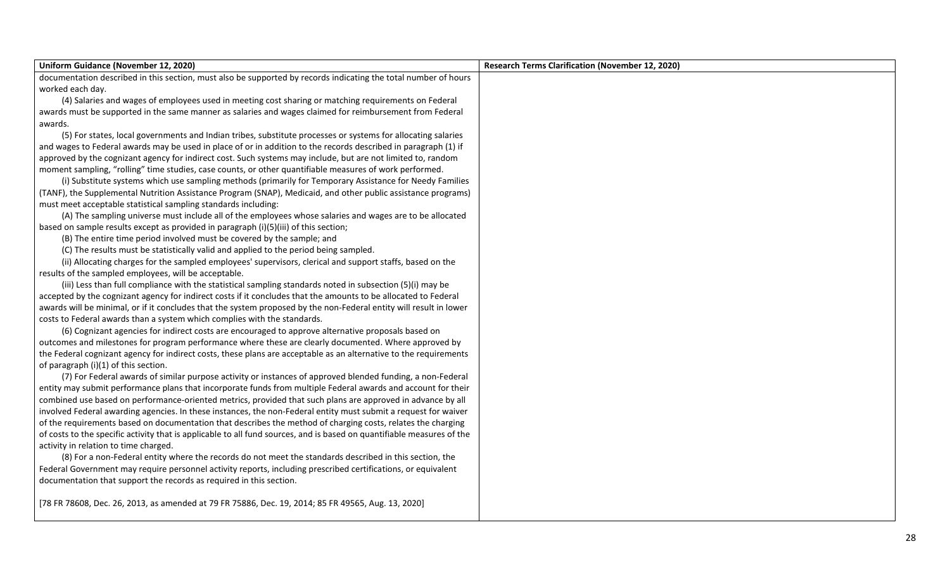| Uniform Guidance (November 12, 2020)                                                                                   | <b>Research Terms Clarification (November 12, 2020)</b> |
|------------------------------------------------------------------------------------------------------------------------|---------------------------------------------------------|
| documentation described in this section, must also be supported by records indicating the total number of hours        |                                                         |
| worked each day.                                                                                                       |                                                         |
| (4) Salaries and wages of employees used in meeting cost sharing or matching requirements on Federal                   |                                                         |
| awards must be supported in the same manner as salaries and wages claimed for reimbursement from Federal               |                                                         |
| awards.                                                                                                                |                                                         |
| (5) For states, local governments and Indian tribes, substitute processes or systems for allocating salaries           |                                                         |
| and wages to Federal awards may be used in place of or in addition to the records described in paragraph (1) if        |                                                         |
| approved by the cognizant agency for indirect cost. Such systems may include, but are not limited to, random           |                                                         |
| moment sampling, "rolling" time studies, case counts, or other quantifiable measures of work performed.                |                                                         |
| (i) Substitute systems which use sampling methods (primarily for Temporary Assistance for Needy Families               |                                                         |
| (TANF), the Supplemental Nutrition Assistance Program (SNAP), Medicaid, and other public assistance programs)          |                                                         |
| must meet acceptable statistical sampling standards including:                                                         |                                                         |
| (A) The sampling universe must include all of the employees whose salaries and wages are to be allocated               |                                                         |
| based on sample results except as provided in paragraph (i)(5)(iii) of this section;                                   |                                                         |
| (B) The entire time period involved must be covered by the sample; and                                                 |                                                         |
| (C) The results must be statistically valid and applied to the period being sampled.                                   |                                                         |
| (ii) Allocating charges for the sampled employees' supervisors, clerical and support staffs, based on the              |                                                         |
| results of the sampled employees, will be acceptable.                                                                  |                                                         |
| (iii) Less than full compliance with the statistical sampling standards noted in subsection (5)(i) may be              |                                                         |
| accepted by the cognizant agency for indirect costs if it concludes that the amounts to be allocated to Federal        |                                                         |
| awards will be minimal, or if it concludes that the system proposed by the non-Federal entity will result in lower     |                                                         |
| costs to Federal awards than a system which complies with the standards.                                               |                                                         |
| (6) Cognizant agencies for indirect costs are encouraged to approve alternative proposals based on                     |                                                         |
| outcomes and milestones for program performance where these are clearly documented. Where approved by                  |                                                         |
| the Federal cognizant agency for indirect costs, these plans are acceptable as an alternative to the requirements      |                                                         |
| of paragraph (i)(1) of this section.                                                                                   |                                                         |
| (7) For Federal awards of similar purpose activity or instances of approved blended funding, a non-Federal             |                                                         |
| entity may submit performance plans that incorporate funds from multiple Federal awards and account for their          |                                                         |
| combined use based on performance-oriented metrics, provided that such plans are approved in advance by all            |                                                         |
| involved Federal awarding agencies. In these instances, the non-Federal entity must submit a request for waiver        |                                                         |
| of the requirements based on documentation that describes the method of charging costs, relates the charging           |                                                         |
| of costs to the specific activity that is applicable to all fund sources, and is based on quantifiable measures of the |                                                         |
| activity in relation to time charged.                                                                                  |                                                         |
| (8) For a non-Federal entity where the records do not meet the standards described in this section, the                |                                                         |
| Federal Government may require personnel activity reports, including prescribed certifications, or equivalent          |                                                         |
| documentation that support the records as required in this section.                                                    |                                                         |
| [78 FR 78608, Dec. 26, 2013, as amended at 79 FR 75886, Dec. 19, 2014; 85 FR 49565, Aug. 13, 2020]                     |                                                         |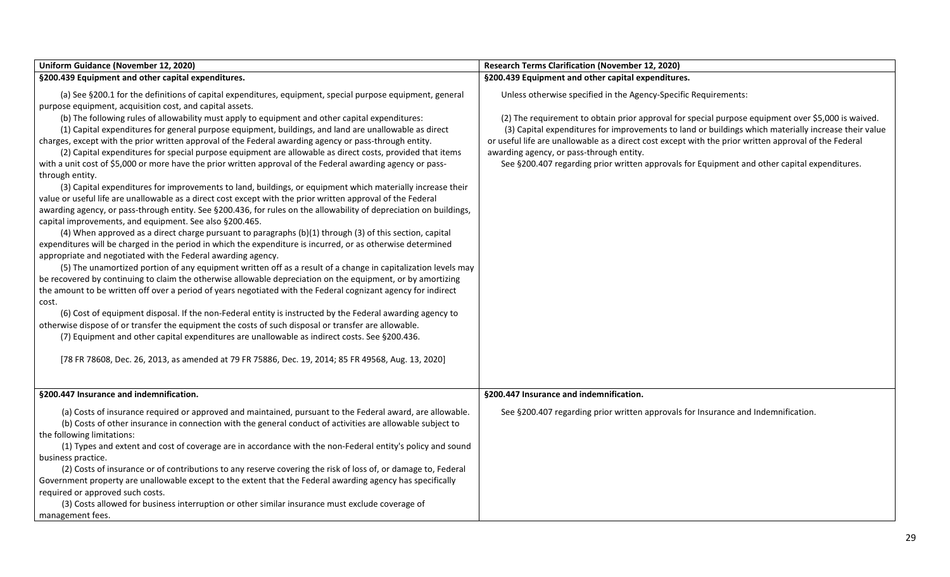| Uniform Guidance (November 12, 2020)                                                                               | <b>Research Terms Clarification (November 12, 2020)</b>                                               |
|--------------------------------------------------------------------------------------------------------------------|-------------------------------------------------------------------------------------------------------|
| §200.439 Equipment and other capital expenditures.                                                                 | §200.439 Equipment and other capital expenditures.                                                    |
| (a) See §200.1 for the definitions of capital expenditures, equipment, special purpose equipment, general          | Unless otherwise specified in the Agency-Specific Requirements:                                       |
| purpose equipment, acquisition cost, and capital assets.                                                           |                                                                                                       |
| (b) The following rules of allowability must apply to equipment and other capital expenditures:                    | (2) The requirement to obtain prior approval for special purpose equipment over \$5,000 is waived.    |
| (1) Capital expenditures for general purpose equipment, buildings, and land are unallowable as direct              | (3) Capital expenditures for improvements to land or buildings which materially increase their value  |
| charges, except with the prior written approval of the Federal awarding agency or pass-through entity.             | or useful life are unallowable as a direct cost except with the prior written approval of the Federal |
| (2) Capital expenditures for special purpose equipment are allowable as direct costs, provided that items          | awarding agency, or pass-through entity.                                                              |
| with a unit cost of \$5,000 or more have the prior written approval of the Federal awarding agency or pass-        | See §200.407 regarding prior written approvals for Equipment and other capital expenditures.          |
| through entity.                                                                                                    |                                                                                                       |
| (3) Capital expenditures for improvements to land, buildings, or equipment which materially increase their         |                                                                                                       |
| value or useful life are unallowable as a direct cost except with the prior written approval of the Federal        |                                                                                                       |
| awarding agency, or pass-through entity. See §200.436, for rules on the allowability of depreciation on buildings, |                                                                                                       |
| capital improvements, and equipment. See also §200.465.                                                            |                                                                                                       |
| (4) When approved as a direct charge pursuant to paragraphs (b)(1) through (3) of this section, capital            |                                                                                                       |
| expenditures will be charged in the period in which the expenditure is incurred, or as otherwise determined        |                                                                                                       |
| appropriate and negotiated with the Federal awarding agency.                                                       |                                                                                                       |
| (5) The unamortized portion of any equipment written off as a result of a change in capitalization levels may      |                                                                                                       |
| be recovered by continuing to claim the otherwise allowable depreciation on the equipment, or by amortizing        |                                                                                                       |
| the amount to be written off over a period of years negotiated with the Federal cognizant agency for indirect      |                                                                                                       |
| cost.                                                                                                              |                                                                                                       |
| (6) Cost of equipment disposal. If the non-Federal entity is instructed by the Federal awarding agency to          |                                                                                                       |
| otherwise dispose of or transfer the equipment the costs of such disposal or transfer are allowable.               |                                                                                                       |
| (7) Equipment and other capital expenditures are unallowable as indirect costs. See §200.436.                      |                                                                                                       |
| [78 FR 78608, Dec. 26, 2013, as amended at 79 FR 75886, Dec. 19, 2014; 85 FR 49568, Aug. 13, 2020]                 |                                                                                                       |
| §200.447 Insurance and indemnification.                                                                            | §200.447 Insurance and indemnification.                                                               |
|                                                                                                                    |                                                                                                       |
| (a) Costs of insurance required or approved and maintained, pursuant to the Federal award, are allowable.          | See §200.407 regarding prior written approvals for Insurance and Indemnification.                     |
| (b) Costs of other insurance in connection with the general conduct of activities are allowable subject to         |                                                                                                       |
| the following limitations:                                                                                         |                                                                                                       |
| (1) Types and extent and cost of coverage are in accordance with the non-Federal entity's policy and sound         |                                                                                                       |
| business practice.                                                                                                 |                                                                                                       |
| (2) Costs of insurance or of contributions to any reserve covering the risk of loss of, or damage to, Federal      |                                                                                                       |
| Government property are unallowable except to the extent that the Federal awarding agency has specifically         |                                                                                                       |
| required or approved such costs.                                                                                   |                                                                                                       |
| (3) Costs allowed for business interruption or other similar insurance must exclude coverage of                    |                                                                                                       |
| management fees.                                                                                                   |                                                                                                       |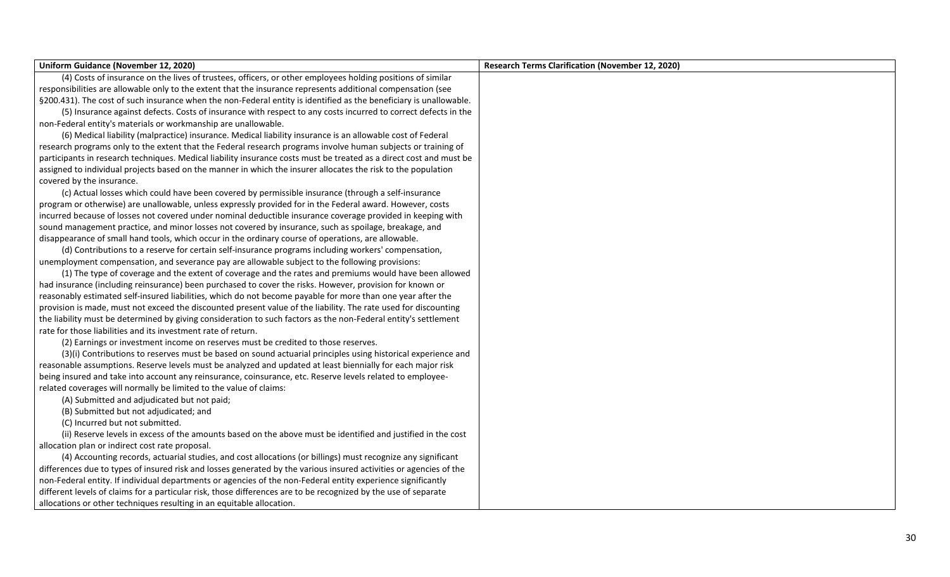| Uniform Guidance (November 12, 2020)                                                                                | <b>Research Terms Clarification (November 12, 2020)</b> |
|---------------------------------------------------------------------------------------------------------------------|---------------------------------------------------------|
| (4) Costs of insurance on the lives of trustees, officers, or other employees holding positions of similar          |                                                         |
| responsibilities are allowable only to the extent that the insurance represents additional compensation (see        |                                                         |
| §200.431). The cost of such insurance when the non-Federal entity is identified as the beneficiary is unallowable.  |                                                         |
| (5) Insurance against defects. Costs of insurance with respect to any costs incurred to correct defects in the      |                                                         |
| non-Federal entity's materials or workmanship are unallowable.                                                      |                                                         |
| (6) Medical liability (malpractice) insurance. Medical liability insurance is an allowable cost of Federal          |                                                         |
| research programs only to the extent that the Federal research programs involve human subjects or training of       |                                                         |
| participants in research techniques. Medical liability insurance costs must be treated as a direct cost and must be |                                                         |
| assigned to individual projects based on the manner in which the insurer allocates the risk to the population       |                                                         |
| covered by the insurance.                                                                                           |                                                         |
| (c) Actual losses which could have been covered by permissible insurance (through a self-insurance                  |                                                         |
| program or otherwise) are unallowable, unless expressly provided for in the Federal award. However, costs           |                                                         |
| incurred because of losses not covered under nominal deductible insurance coverage provided in keeping with         |                                                         |
| sound management practice, and minor losses not covered by insurance, such as spoilage, breakage, and               |                                                         |
| disappearance of small hand tools, which occur in the ordinary course of operations, are allowable.                 |                                                         |
| (d) Contributions to a reserve for certain self-insurance programs including workers' compensation,                 |                                                         |
| unemployment compensation, and severance pay are allowable subject to the following provisions:                     |                                                         |
| (1) The type of coverage and the extent of coverage and the rates and premiums would have been allowed              |                                                         |
| had insurance (including reinsurance) been purchased to cover the risks. However, provision for known or            |                                                         |
| reasonably estimated self-insured liabilities, which do not become payable for more than one year after the         |                                                         |
| provision is made, must not exceed the discounted present value of the liability. The rate used for discounting     |                                                         |
| the liability must be determined by giving consideration to such factors as the non-Federal entity's settlement     |                                                         |
| rate for those liabilities and its investment rate of return.                                                       |                                                         |
| (2) Earnings or investment income on reserves must be credited to those reserves.                                   |                                                         |
| (3)(i) Contributions to reserves must be based on sound actuarial principles using historical experience and        |                                                         |
| reasonable assumptions. Reserve levels must be analyzed and updated at least biennially for each major risk         |                                                         |
| being insured and take into account any reinsurance, coinsurance, etc. Reserve levels related to employee-          |                                                         |
| related coverages will normally be limited to the value of claims:                                                  |                                                         |
| (A) Submitted and adjudicated but not paid;                                                                         |                                                         |
| (B) Submitted but not adjudicated; and                                                                              |                                                         |
| (C) Incurred but not submitted.                                                                                     |                                                         |
| (ii) Reserve levels in excess of the amounts based on the above must be identified and justified in the cost        |                                                         |
| allocation plan or indirect cost rate proposal.                                                                     |                                                         |
| (4) Accounting records, actuarial studies, and cost allocations (or billings) must recognize any significant        |                                                         |
| differences due to types of insured risk and losses generated by the various insured activities or agencies of the  |                                                         |
| non-Federal entity. If individual departments or agencies of the non-Federal entity experience significantly        |                                                         |
| different levels of claims for a particular risk, those differences are to be recognized by the use of separate     |                                                         |
| allocations or other techniques resulting in an equitable allocation.                                               |                                                         |